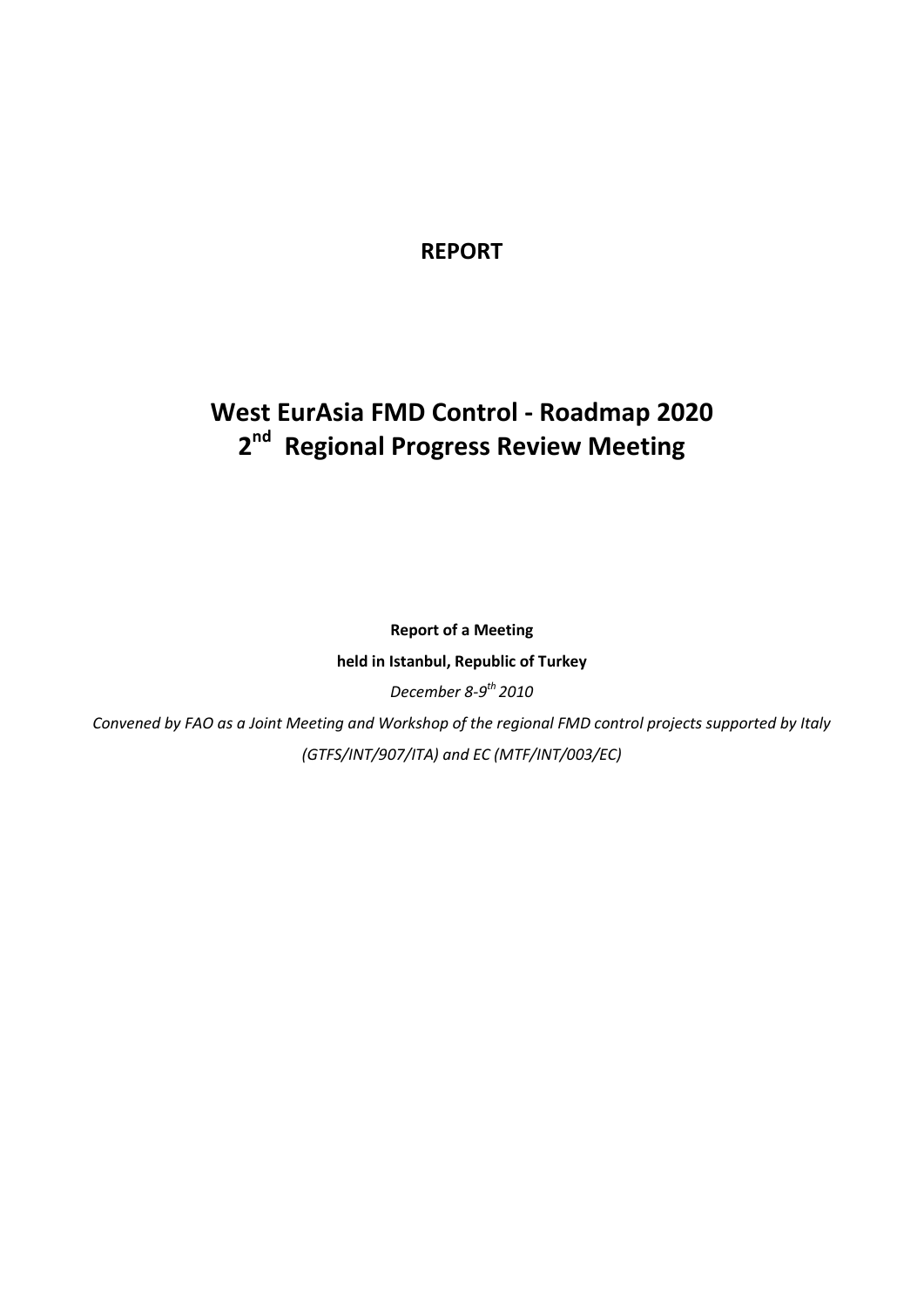# **REPORT**

# **West EurAsia FMD Control - Roadmap 2020 2 nd Regional Progress Review Meeting**

**Report of a Meeting held in Istanbul, Republic of Turkey** *December 8-9 th 2010*

*Convened by FAO as a Joint Meeting and Workshop of the regional FMD control projects supported by Italy (GTFS/INT/907/ITA) and EC (MTF/INT/003/EC)*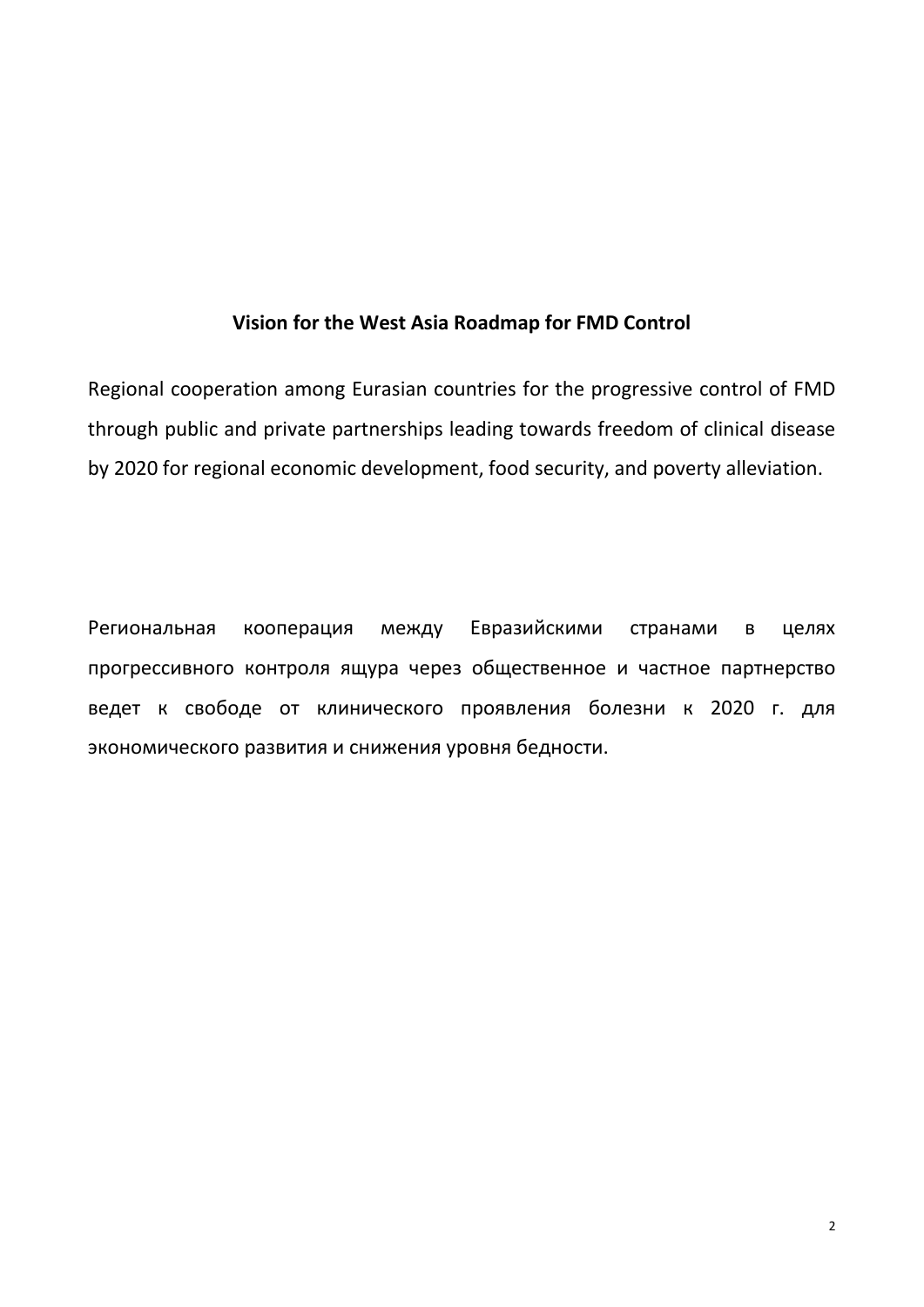# **Vision for the West Asia Roadmap for FMD Control**

Regional cooperation among Eurasian countries for the progressive control of FMD through public and private partnerships leading towards freedom of clinical disease by 2020 for regional economic development, food security, and poverty alleviation.

Региональная кооперация между Евразийскими странами в целях прогрессивного контроля ящура через общественное и частное партнерство ведет к свободе от клинического проявления болезни к 2020 г. для экономического развития и снижения уровня бедности.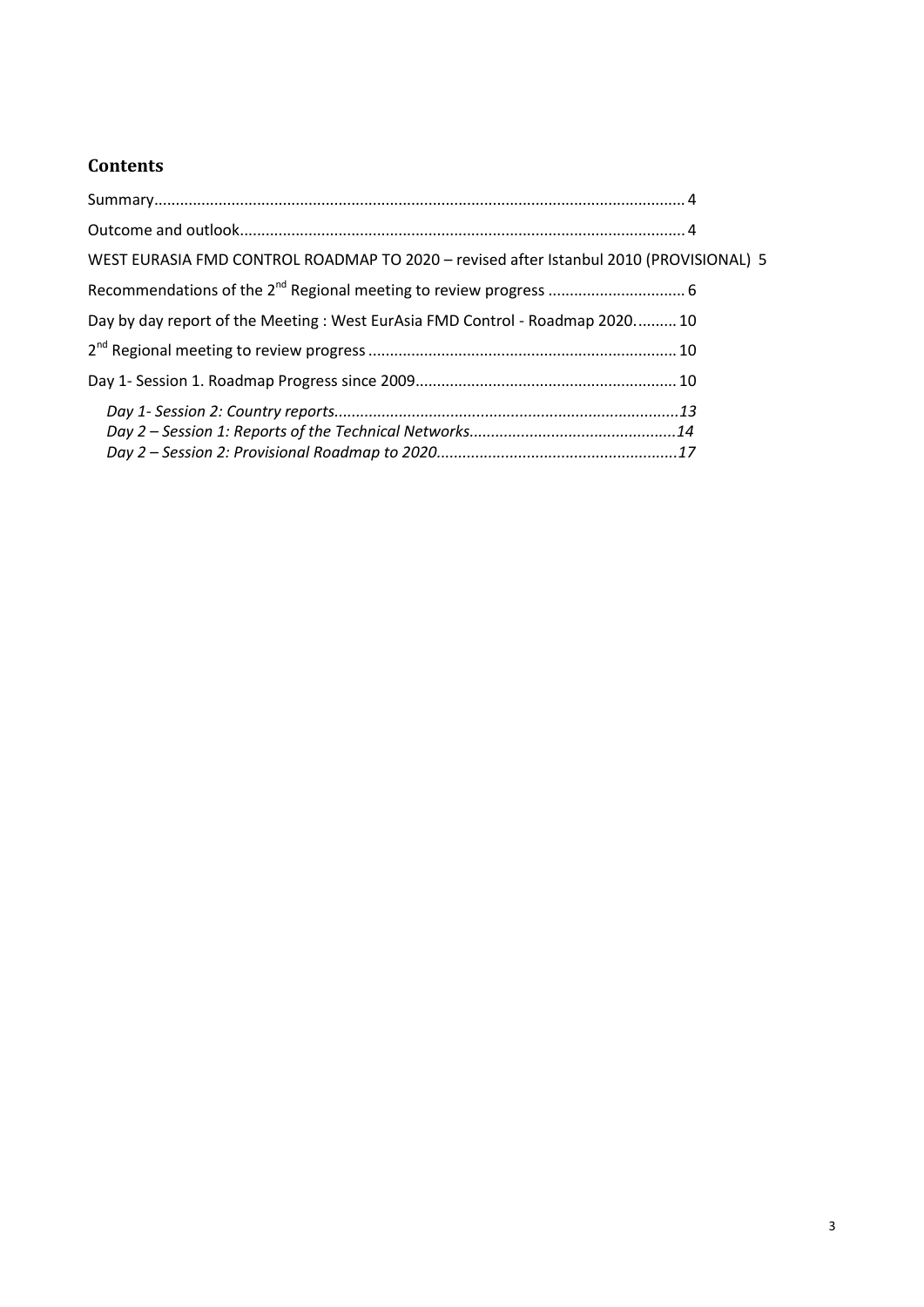# **Contents**

| WEST EURASIA FMD CONTROL ROADMAP TO 2020 - revised after Istanbul 2010 (PROVISIONAL) 5 |  |
|----------------------------------------------------------------------------------------|--|
|                                                                                        |  |
| Day by day report of the Meeting : West EurAsia FMD Control - Roadmap 2020 10          |  |
|                                                                                        |  |
|                                                                                        |  |
|                                                                                        |  |
|                                                                                        |  |
|                                                                                        |  |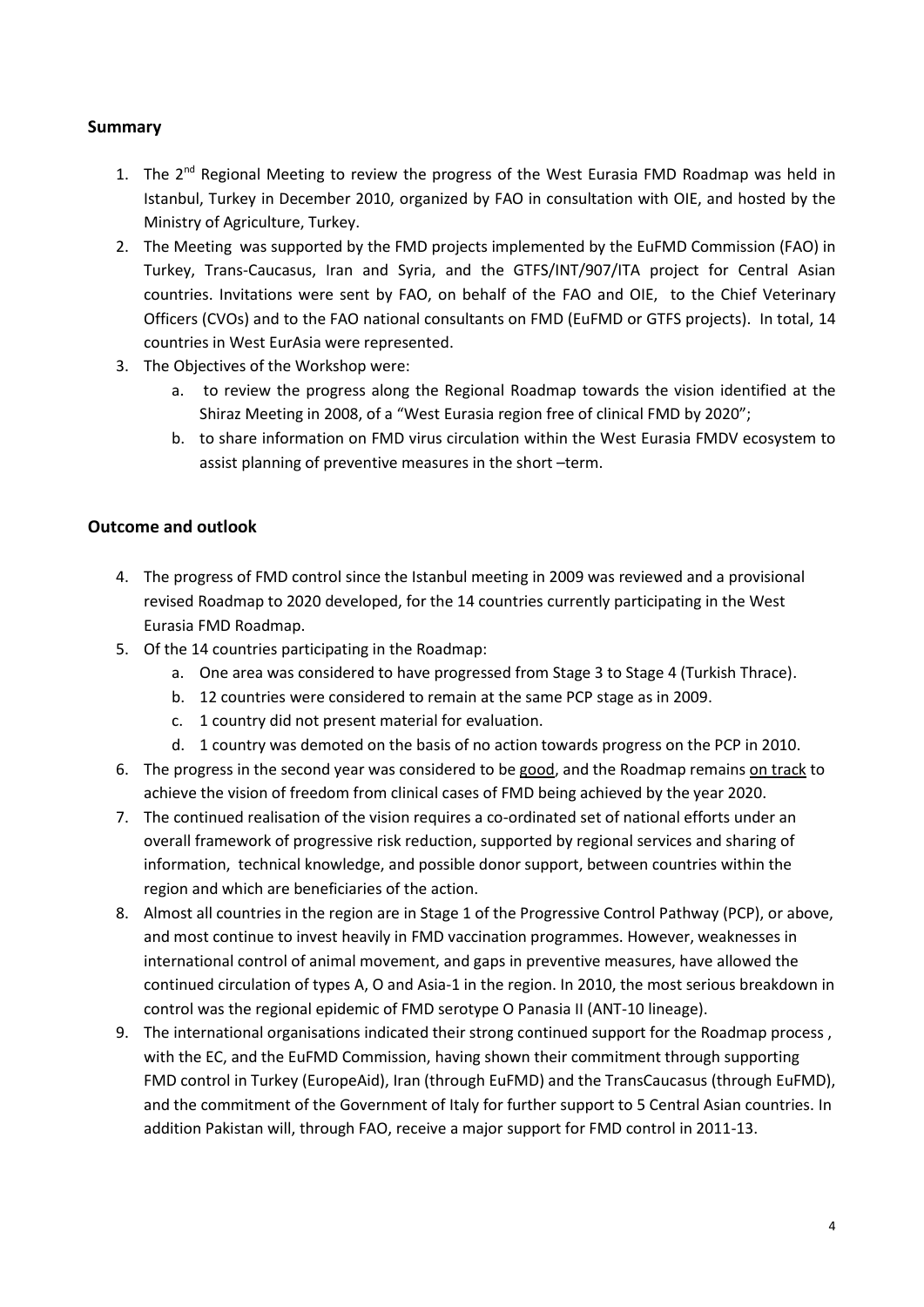#### <span id="page-3-0"></span>**Summary**

- 1. The 2<sup>nd</sup> Regional Meeting to review the progress of the West Eurasia FMD Roadmap was held in Istanbul, Turkey in December 2010, organized by FAO in consultation with OIE, and hosted by the Ministry of Agriculture, Turkey.
- 2. The Meeting was supported by the FMD projects implemented by the EuFMD Commission (FAO) in Turkey, Trans-Caucasus, Iran and Syria, and the GTFS/INT/907/ITA project for Central Asian countries. Invitations were sent by FAO, on behalf of the FAO and OIE, to the Chief Veterinary Officers (CVOs) and to the FAO national consultants on FMD (EuFMD or GTFS projects). In total, 14 countries in West EurAsia were represented.
- 3. The Objectives of the Workshop were:
	- a. to review the progress along the Regional Roadmap towards the vision identified at the Shiraz Meeting in 2008, of a "West Eurasia region free of clinical FMD by 2020";
	- b. to share information on FMD virus circulation within the West Eurasia FMDV ecosystem to assist planning of preventive measures in the short –term.

#### <span id="page-3-1"></span>**Outcome and outlook**

- 4. The progress of FMD control since the Istanbul meeting in 2009 was reviewed and a provisional revised Roadmap to 2020 developed, for the 14 countries currently participating in the West Eurasia FMD Roadmap.
- 5. Of the 14 countries participating in the Roadmap:
	- a. One area was considered to have progressed from Stage 3 to Stage 4 (Turkish Thrace).
	- b. 12 countries were considered to remain at the same PCP stage as in 2009.
	- c. 1 country did not present material for evaluation.
	- d. 1 country was demoted on the basis of no action towards progress on the PCP in 2010.
- 6. The progress in the second year was considered to be good, and the Roadmap remains on track to achieve the vision of freedom from clinical cases of FMD being achieved by the year 2020.
- 7. The continued realisation of the vision requires a co-ordinated set of national efforts under an overall framework of progressive risk reduction, supported by regional services and sharing of information, technical knowledge, and possible donor support, between countries within the region and which are beneficiaries of the action.
- 8. Almost all countries in the region are in Stage 1 of the Progressive Control Pathway (PCP), or above, and most continue to invest heavily in FMD vaccination programmes. However, weaknesses in international control of animal movement, and gaps in preventive measures, have allowed the continued circulation of types A, O and Asia-1 in the region. In 2010, the most serious breakdown in control was the regional epidemic of FMD serotype O Panasia II (ANT-10 lineage).
- 9. The international organisations indicated their strong continued support for the Roadmap process , with the EC, and the EuFMD Commission, having shown their commitment through supporting FMD control in Turkey (EuropeAid), Iran (through EuFMD) and the TransCaucasus (through EuFMD), and the commitment of the Government of Italy for further support to 5 Central Asian countries. In addition Pakistan will, through FAO, receive a major support for FMD control in 2011-13.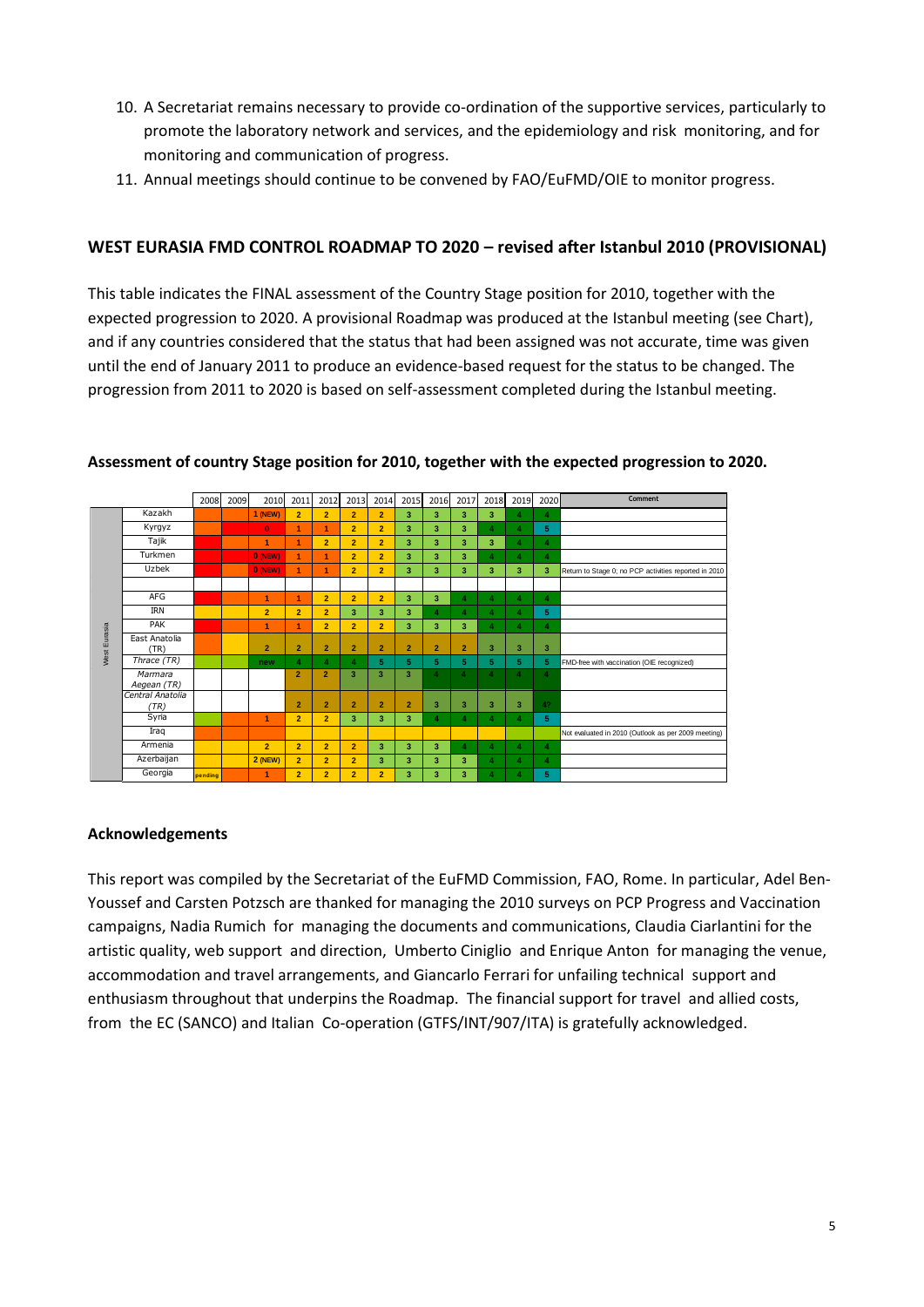- 10. A Secretariat remains necessary to provide co-ordination of the supportive services, particularly to promote the laboratory network and services, and the epidemiology and risk monitoring, and for monitoring and communication of progress.
- 11. Annual meetings should continue to be convened by FAO/EuFMD/OIE to monitor progress.

#### <span id="page-4-0"></span>**WEST EURASIA FMD CONTROL ROADMAP TO 2020 – revised after Istanbul 2010 (PROVISIONAL)**

This table indicates the FINAL assessment of the Country Stage position for 2010, together with the expected progression to 2020. A provisional Roadmap was produced at the Istanbul meeting (see Chart), and if any countries considered that the status that had been assigned was not accurate, time was given until the end of January 2011 to produce an evidence-based request for the status to be changed. The progression from 2011 to 2020 is based on self-assessment completed during the Istanbul meeting.



#### **Assessment of country Stage position for 2010, together with the expected progression to 2020.**

#### **Acknowledgements**

This report was compiled by the Secretariat of the EuFMD Commission, FAO, Rome. In particular, Adel Ben-Youssef and Carsten Potzsch are thanked for managing the 2010 surveys on PCP Progress and Vaccination campaigns, Nadia Rumich for managing the documents and communications, Claudia Ciarlantini for the artistic quality, web support and direction, Umberto Ciniglio and Enrique Anton for managing the venue, accommodation and travel arrangements, and Giancarlo Ferrari for unfailing technical support and enthusiasm throughout that underpins the Roadmap. The financial support for travel and allied costs, from the EC (SANCO) and Italian Co-operation (GTFS/INT/907/ITA) is gratefully acknowledged.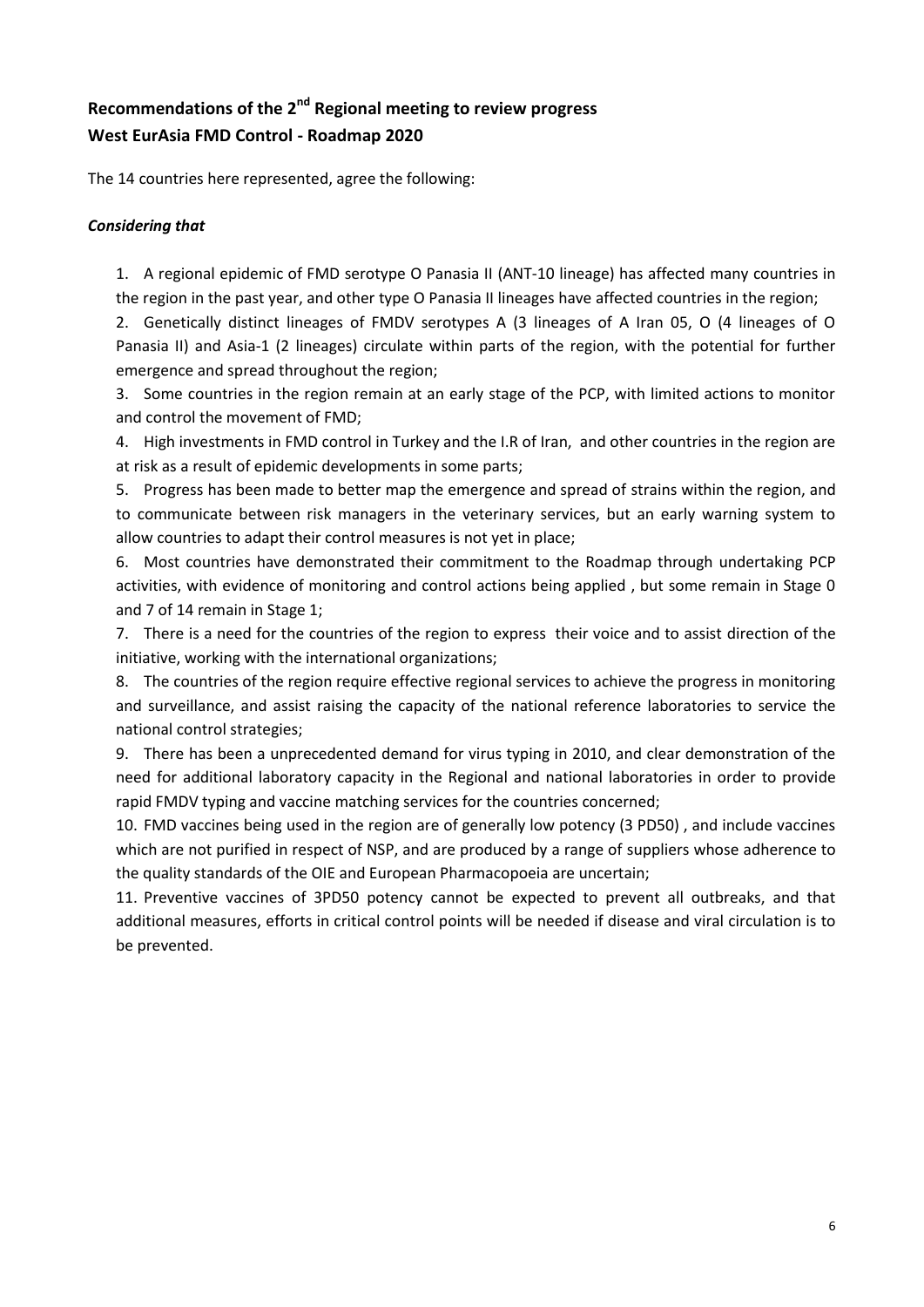# <span id="page-5-0"></span>**Recommendations of the 2nd Regional meeting to review progress West EurAsia FMD Control - Roadmap 2020**

The 14 countries here represented, agree the following:

#### *Considering that*

1. A regional epidemic of FMD serotype O Panasia II (ANT-10 lineage) has affected many countries in the region in the past year, and other type O Panasia II lineages have affected countries in the region;

2. Genetically distinct lineages of FMDV serotypes A (3 lineages of A Iran 05, O (4 lineages of O Panasia II) and Asia-1 (2 lineages) circulate within parts of the region, with the potential for further emergence and spread throughout the region;

3. Some countries in the region remain at an early stage of the PCP, with limited actions to monitor and control the movement of FMD;

4. High investments in FMD control in Turkey and the I.R of Iran, and other countries in the region are at risk as a result of epidemic developments in some parts;

5. Progress has been made to better map the emergence and spread of strains within the region, and to communicate between risk managers in the veterinary services, but an early warning system to allow countries to adapt their control measures is not yet in place;

6. Most countries have demonstrated their commitment to the Roadmap through undertaking PCP activities, with evidence of monitoring and control actions being applied , but some remain in Stage 0 and 7 of 14 remain in Stage 1;

7. There is a need for the countries of the region to express their voice and to assist direction of the initiative, working with the international organizations;

8. The countries of the region require effective regional services to achieve the progress in monitoring and surveillance, and assist raising the capacity of the national reference laboratories to service the national control strategies;

9. There has been a unprecedented demand for virus typing in 2010, and clear demonstration of the need for additional laboratory capacity in the Regional and national laboratories in order to provide rapid FMDV typing and vaccine matching services for the countries concerned;

10. FMD vaccines being used in the region are of generally low potency (3 PD50) , and include vaccines which are not purified in respect of NSP, and are produced by a range of suppliers whose adherence to the quality standards of the OIE and European Pharmacopoeia are uncertain;

11. Preventive vaccines of 3PD50 potency cannot be expected to prevent all outbreaks, and that additional measures, efforts in critical control points will be needed if disease and viral circulation is to be prevented.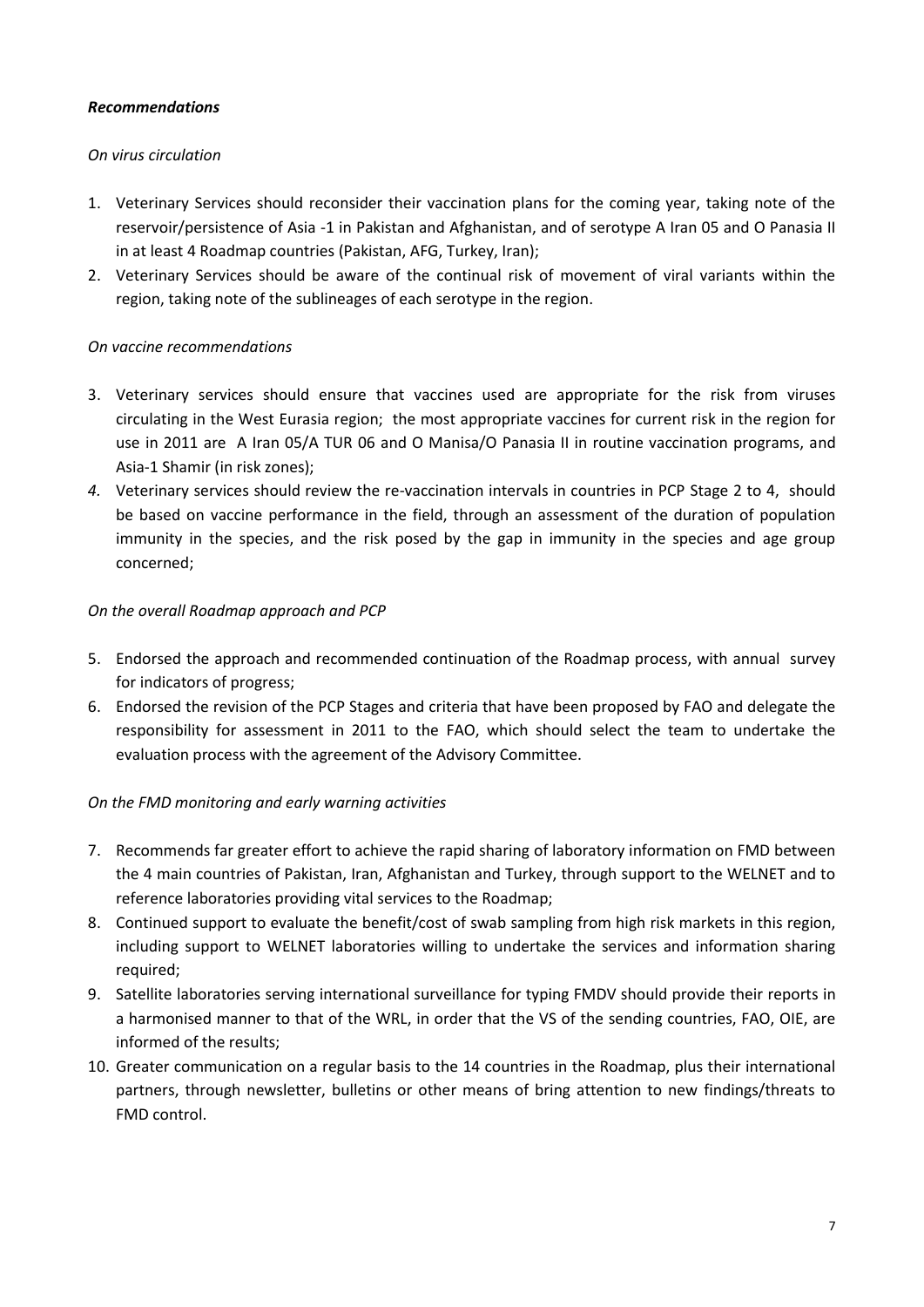#### *Recommendations*

#### *On virus circulation*

- 1. Veterinary Services should reconsider their vaccination plans for the coming year, taking note of the reservoir/persistence of Asia -1 in Pakistan and Afghanistan, and of serotype A Iran 05 and O Panasia II in at least 4 Roadmap countries (Pakistan, AFG, Turkey, Iran);
- 2. Veterinary Services should be aware of the continual risk of movement of viral variants within the region, taking note of the sublineages of each serotype in the region.

#### *On vaccine recommendations*

- 3. Veterinary services should ensure that vaccines used are appropriate for the risk from viruses circulating in the West Eurasia region; the most appropriate vaccines for current risk in the region for use in 2011 are A Iran 05/A TUR 06 and O Manisa/O Panasia II in routine vaccination programs, and Asia-1 Shamir (in risk zones);
- *4.* Veterinary services should review the re-vaccination intervals in countries in PCP Stage 2 to 4, should be based on vaccine performance in the field, through an assessment of the duration of population immunity in the species, and the risk posed by the gap in immunity in the species and age group concerned;

#### *On the overall Roadmap approach and PCP*

- 5. Endorsed the approach and recommended continuation of the Roadmap process, with annual survey for indicators of progress;
- 6. Endorsed the revision of the PCP Stages and criteria that have been proposed by FAO and delegate the responsibility for assessment in 2011 to the FAO, which should select the team to undertake the evaluation process with the agreement of the Advisory Committee.

#### *On the FMD monitoring and early warning activities*

- 7. Recommends far greater effort to achieve the rapid sharing of laboratory information on FMD between the 4 main countries of Pakistan, Iran, Afghanistan and Turkey, through support to the WELNET and to reference laboratories providing vital services to the Roadmap;
- 8. Continued support to evaluate the benefit/cost of swab sampling from high risk markets in this region, including support to WELNET laboratories willing to undertake the services and information sharing required;
- 9. Satellite laboratories serving international surveillance for typing FMDV should provide their reports in a harmonised manner to that of the WRL, in order that the VS of the sending countries, FAO, OIE, are informed of the results;
- 10. Greater communication on a regular basis to the 14 countries in the Roadmap, plus their international partners, through newsletter, bulletins or other means of bring attention to new findings/threats to FMD control.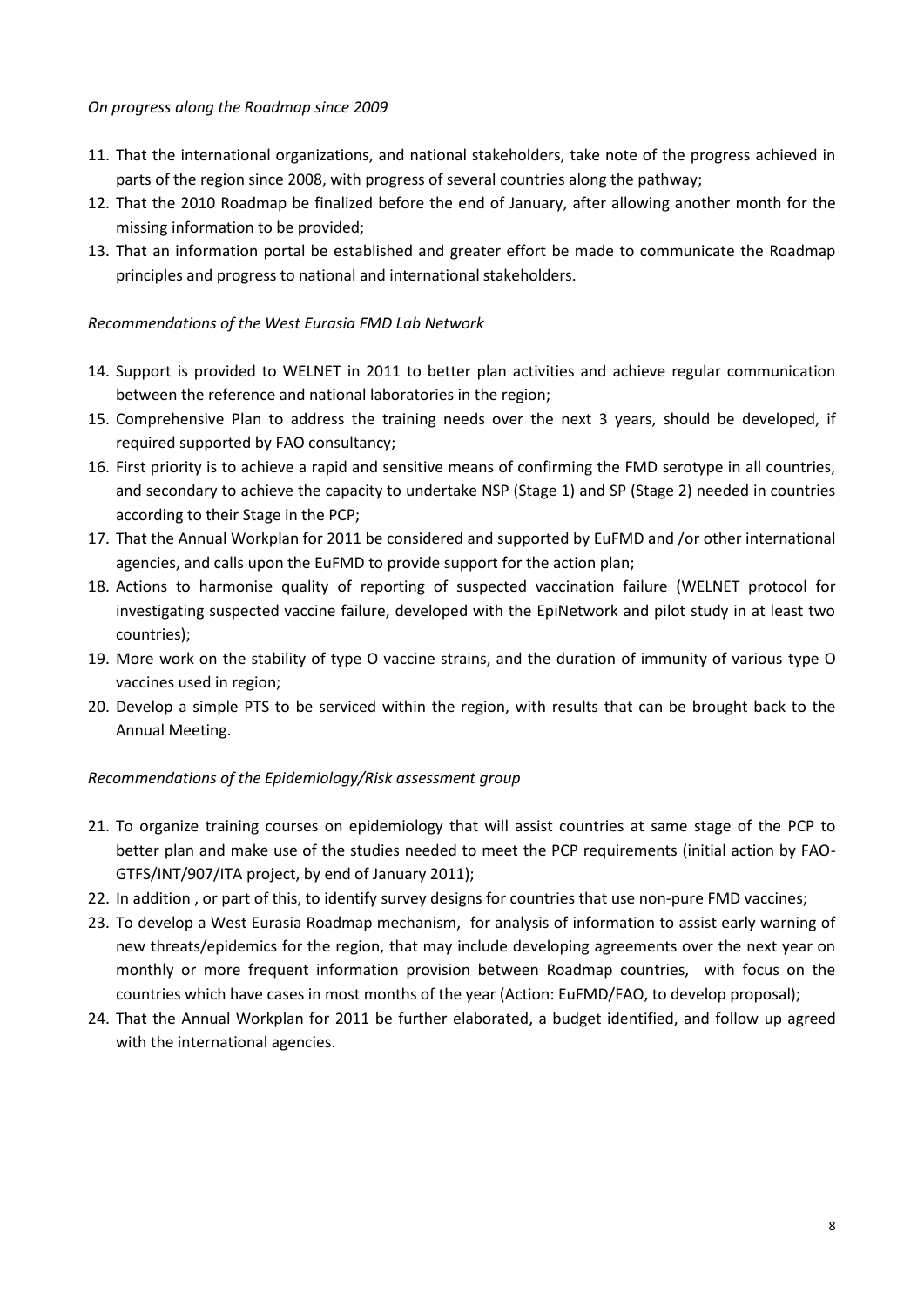#### *On progress along the Roadmap since 2009*

- 11. That the international organizations, and national stakeholders, take note of the progress achieved in parts of the region since 2008, with progress of several countries along the pathway;
- 12. That the 2010 Roadmap be finalized before the end of January, after allowing another month for the missing information to be provided;
- 13. That an information portal be established and greater effort be made to communicate the Roadmap principles and progress to national and international stakeholders.

#### *Recommendations of the West Eurasia FMD Lab Network*

- 14. Support is provided to WELNET in 2011 to better plan activities and achieve regular communication between the reference and national laboratories in the region;
- 15. Comprehensive Plan to address the training needs over the next 3 years, should be developed, if required supported by FAO consultancy;
- 16. First priority is to achieve a rapid and sensitive means of confirming the FMD serotype in all countries, and secondary to achieve the capacity to undertake NSP (Stage 1) and SP (Stage 2) needed in countries according to their Stage in the PCP;
- 17. That the Annual Workplan for 2011 be considered and supported by EuFMD and /or other international agencies, and calls upon the EuFMD to provide support for the action plan;
- 18. Actions to harmonise quality of reporting of suspected vaccination failure (WELNET protocol for investigating suspected vaccine failure, developed with the EpiNetwork and pilot study in at least two countries);
- 19. More work on the stability of type O vaccine strains, and the duration of immunity of various type O vaccines used in region;
- 20. Develop a simple PTS to be serviced within the region, with results that can be brought back to the Annual Meeting.

#### *Recommendations of the Epidemiology/Risk assessment group*

- 21. To organize training courses on epidemiology that will assist countries at same stage of the PCP to better plan and make use of the studies needed to meet the PCP requirements (initial action by FAO-GTFS/INT/907/ITA project, by end of January 2011);
- 22. In addition , or part of this, to identify survey designs for countries that use non-pure FMD vaccines;
- 23. To develop a West Eurasia Roadmap mechanism, for analysis of information to assist early warning of new threats/epidemics for the region, that may include developing agreements over the next year on monthly or more frequent information provision between Roadmap countries, with focus on the countries which have cases in most months of the year (Action: EuFMD/FAO, to develop proposal);
- 24. That the Annual Workplan for 2011 be further elaborated, a budget identified, and follow up agreed with the international agencies.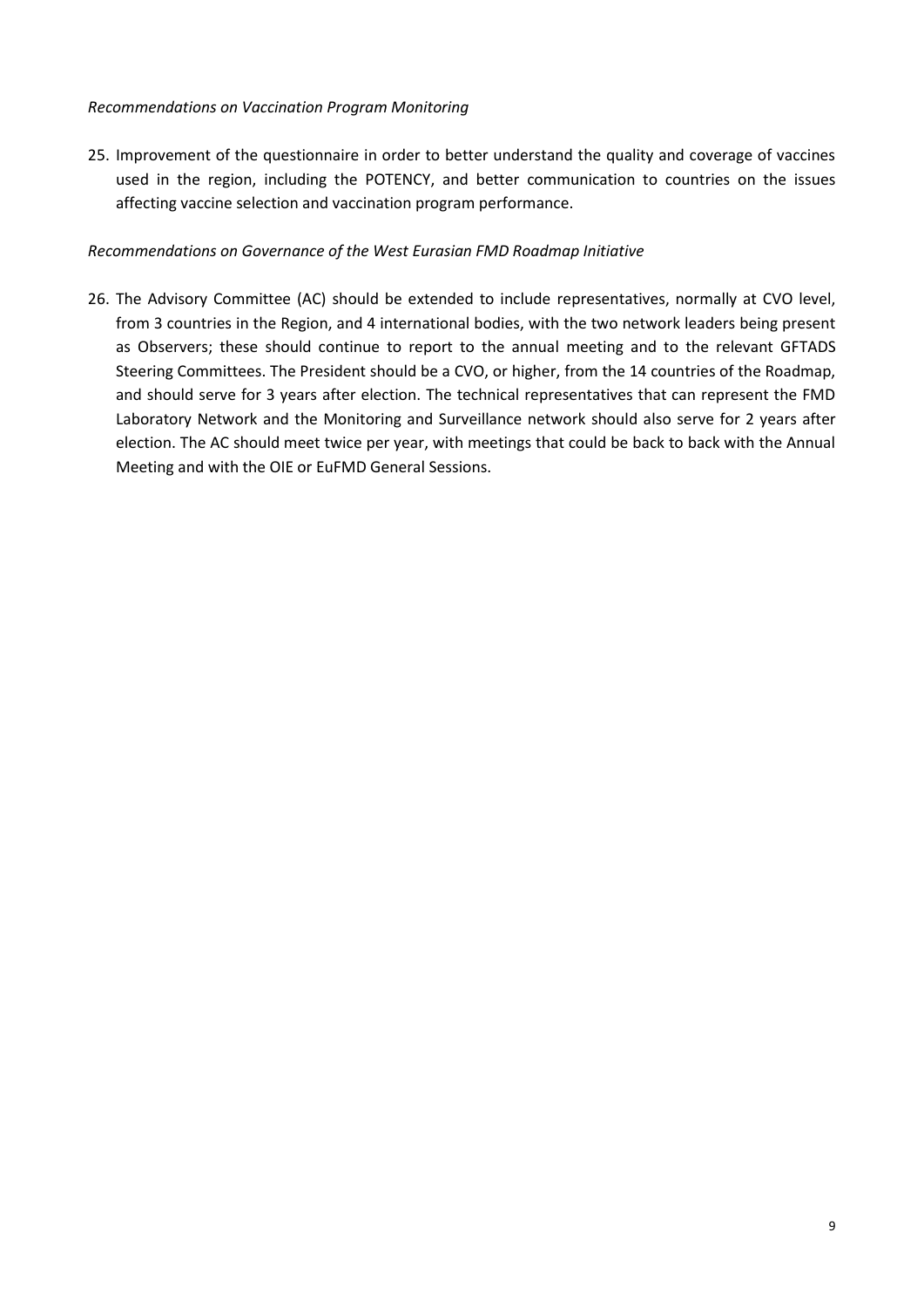#### *Recommendations on Vaccination Program Monitoring*

25. Improvement of the questionnaire in order to better understand the quality and coverage of vaccines used in the region, including the POTENCY, and better communication to countries on the issues affecting vaccine selection and vaccination program performance.

#### *Recommendations on Governance of the West Eurasian FMD Roadmap Initiative*

26. The Advisory Committee (AC) should be extended to include representatives, normally at CVO level, from 3 countries in the Region, and 4 international bodies, with the two network leaders being present as Observers; these should continue to report to the annual meeting and to the relevant GFTADS Steering Committees. The President should be a CVO, or higher, from the 14 countries of the Roadmap, and should serve for 3 years after election. The technical representatives that can represent the FMD Laboratory Network and the Monitoring and Surveillance network should also serve for 2 years after election. The AC should meet twice per year, with meetings that could be back to back with the Annual Meeting and with the OIE or EuFMD General Sessions.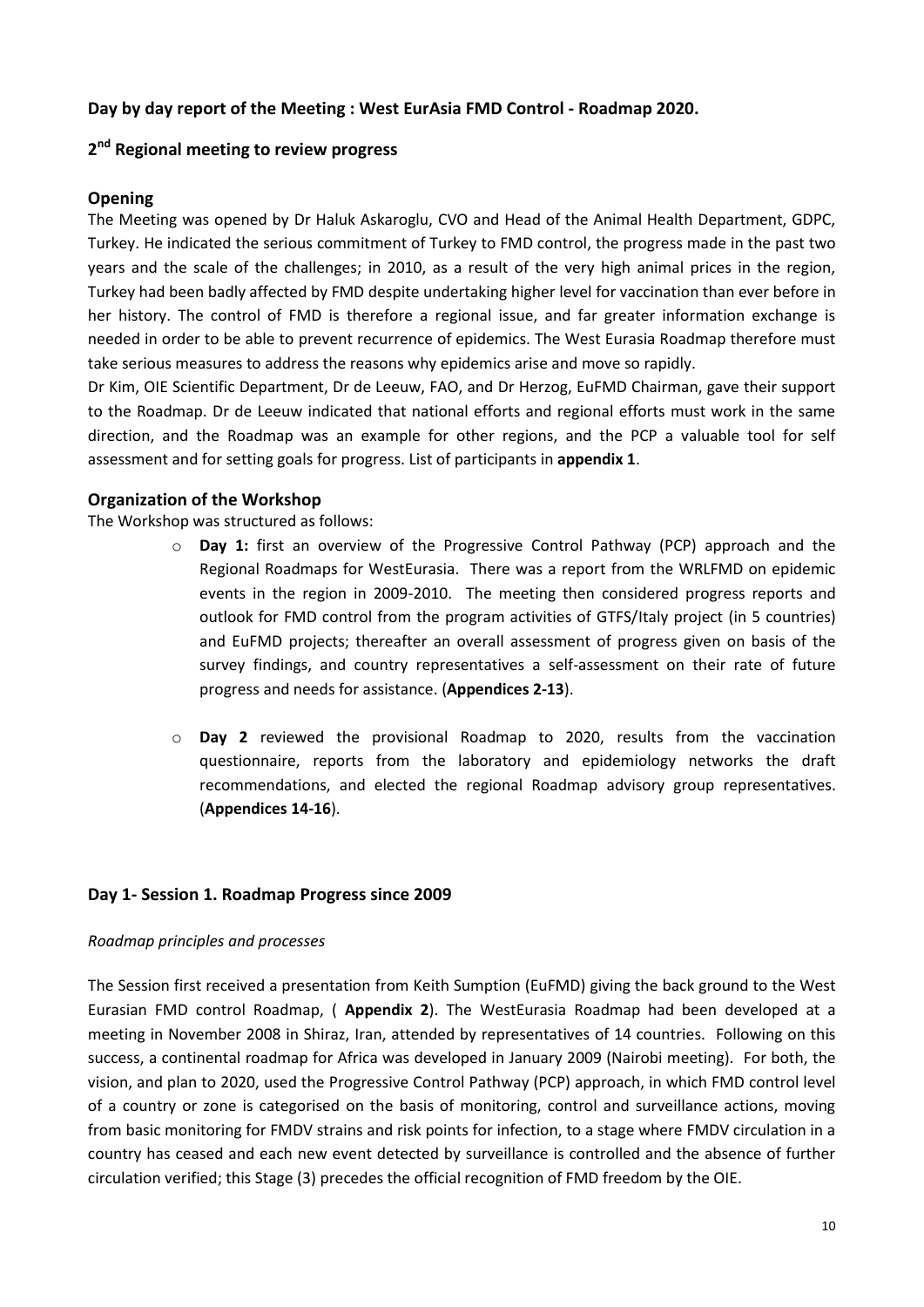#### <span id="page-9-0"></span>**Day by day report of the Meeting : West EurAsia FMD Control - Roadmap 2020.**

# <span id="page-9-1"></span>**2 nd Regional meeting to review progress**

#### **Opening**

The Meeting was opened by Dr Haluk Askaroglu, CVO and Head of the Animal Health Department, GDPC, Turkey. He indicated the serious commitment of Turkey to FMD control, the progress made in the past two years and the scale of the challenges; in 2010, as a result of the very high animal prices in the region, Turkey had been badly affected by FMD despite undertaking higher level for vaccination than ever before in her history. The control of FMD is therefore a regional issue, and far greater information exchange is needed in order to be able to prevent recurrence of epidemics. The West Eurasia Roadmap therefore must take serious measures to address the reasons why epidemics arise and move so rapidly.

Dr Kim, OIE Scientific Department, Dr de Leeuw, FAO, and Dr Herzog, EuFMD Chairman, gave their support to the Roadmap. Dr de Leeuw indicated that national efforts and regional efforts must work in the same direction, and the Roadmap was an example for other regions, and the PCP a valuable tool for self assessment and for setting goals for progress. List of participants in **appendix 1**.

#### **Organization of the Workshop**

The Workshop was structured as follows:

- o **Day 1:** first an overview of the Progressive Control Pathway (PCP) approach and the Regional Roadmaps for WestEurasia. There was a report from the WRLFMD on epidemic events in the region in 2009-2010. The meeting then considered progress reports and outlook for FMD control from the program activities of GTFS/Italy project (in 5 countries) and EuFMD projects; thereafter an overall assessment of progress given on basis of the survey findings, and country representatives a self-assessment on their rate of future progress and needs for assistance. (**Appendices 2-13**).
- o **Day 2** reviewed the provisional Roadmap to 2020, results from the vaccination questionnaire, reports from the laboratory and epidemiology networks the draft recommendations, and elected the regional Roadmap advisory group representatives. (**Appendices 14-16**).

#### <span id="page-9-2"></span>**Day 1- Session 1. Roadmap Progress since 2009**

#### *Roadmap principles and processes*

The Session first received a presentation from Keith Sumption (EuFMD) giving the back ground to the West Eurasian FMD control Roadmap, ( **Appendix 2**). The WestEurasia Roadmap had been developed at a meeting in November 2008 in Shiraz, Iran, attended by representatives of 14 countries. Following on this success, a continental roadmap for Africa was developed in January 2009 (Nairobi meeting). For both, the vision, and plan to 2020, used the Progressive Control Pathway (PCP) approach, in which FMD control level of a country or zone is categorised on the basis of monitoring, control and surveillance actions, moving from basic monitoring for FMDV strains and risk points for infection, to a stage where FMDV circulation in a country has ceased and each new event detected by surveillance is controlled and the absence of further circulation verified; this Stage (3) precedes the official recognition of FMD freedom by the OIE.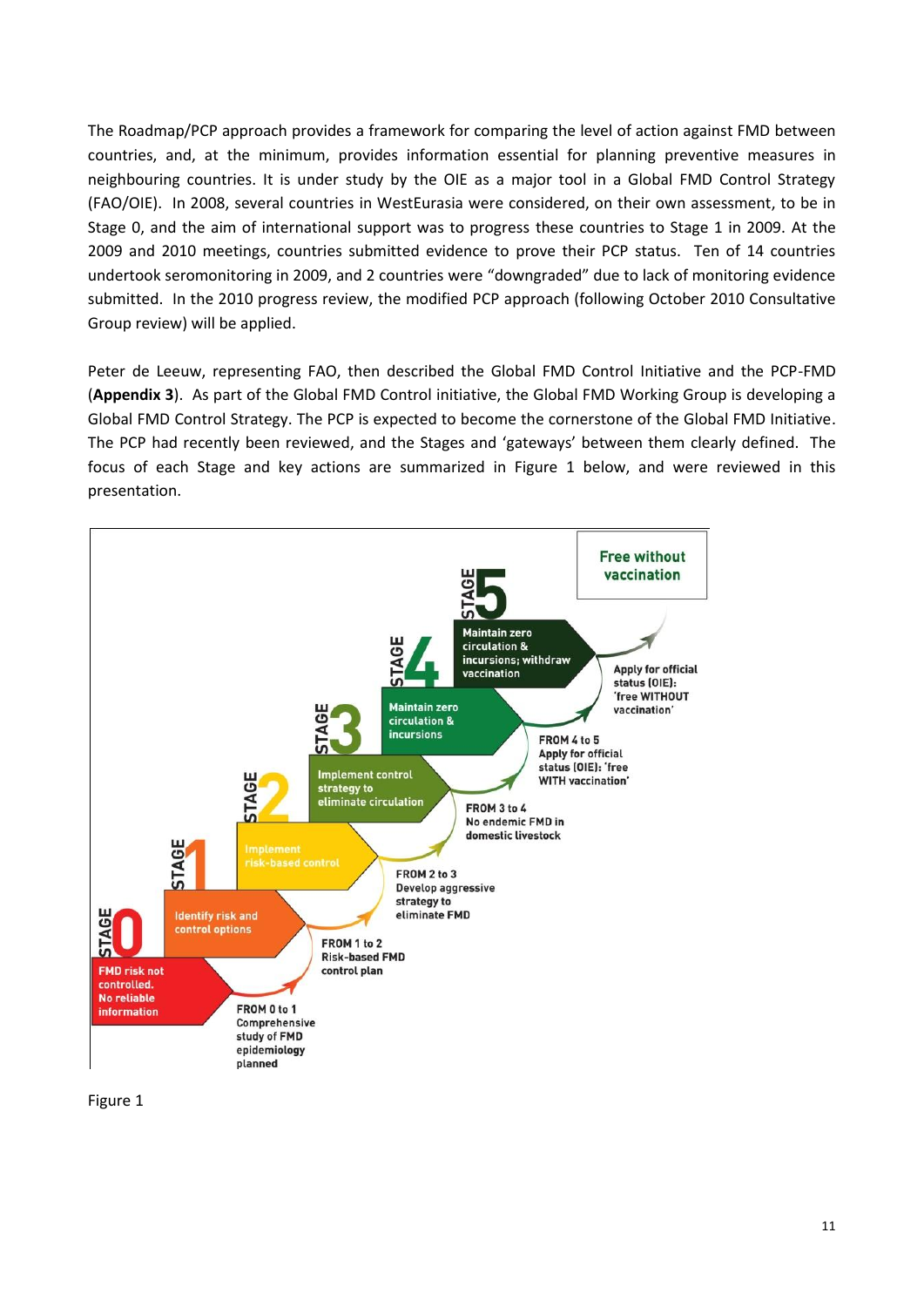The Roadmap/PCP approach provides a framework for comparing the level of action against FMD between countries, and, at the minimum, provides information essential for planning preventive measures in neighbouring countries. It is under study by the OIE as a major tool in a Global FMD Control Strategy (FAO/OIE). In 2008, several countries in WestEurasia were considered, on their own assessment, to be in Stage 0, and the aim of international support was to progress these countries to Stage 1 in 2009. At the 2009 and 2010 meetings, countries submitted evidence to prove their PCP status. Ten of 14 countries undertook seromonitoring in 2009, and 2 countries were "downgraded" due to lack of monitoring evidence submitted. In the 2010 progress review, the modified PCP approach (following October 2010 Consultative Group review) will be applied.

Peter de Leeuw, representing FAO, then described the Global FMD Control Initiative and the PCP-FMD (**Appendix 3**). As part of the Global FMD Control initiative, the Global FMD Working Group is developing a Global FMD Control Strategy. The PCP is expected to become the cornerstone of the Global FMD Initiative. The PCP had recently been reviewed, and the Stages and 'gateways' between them clearly defined. The focus of each Stage and key actions are summarized in Figure 1 below, and were reviewed in this presentation.



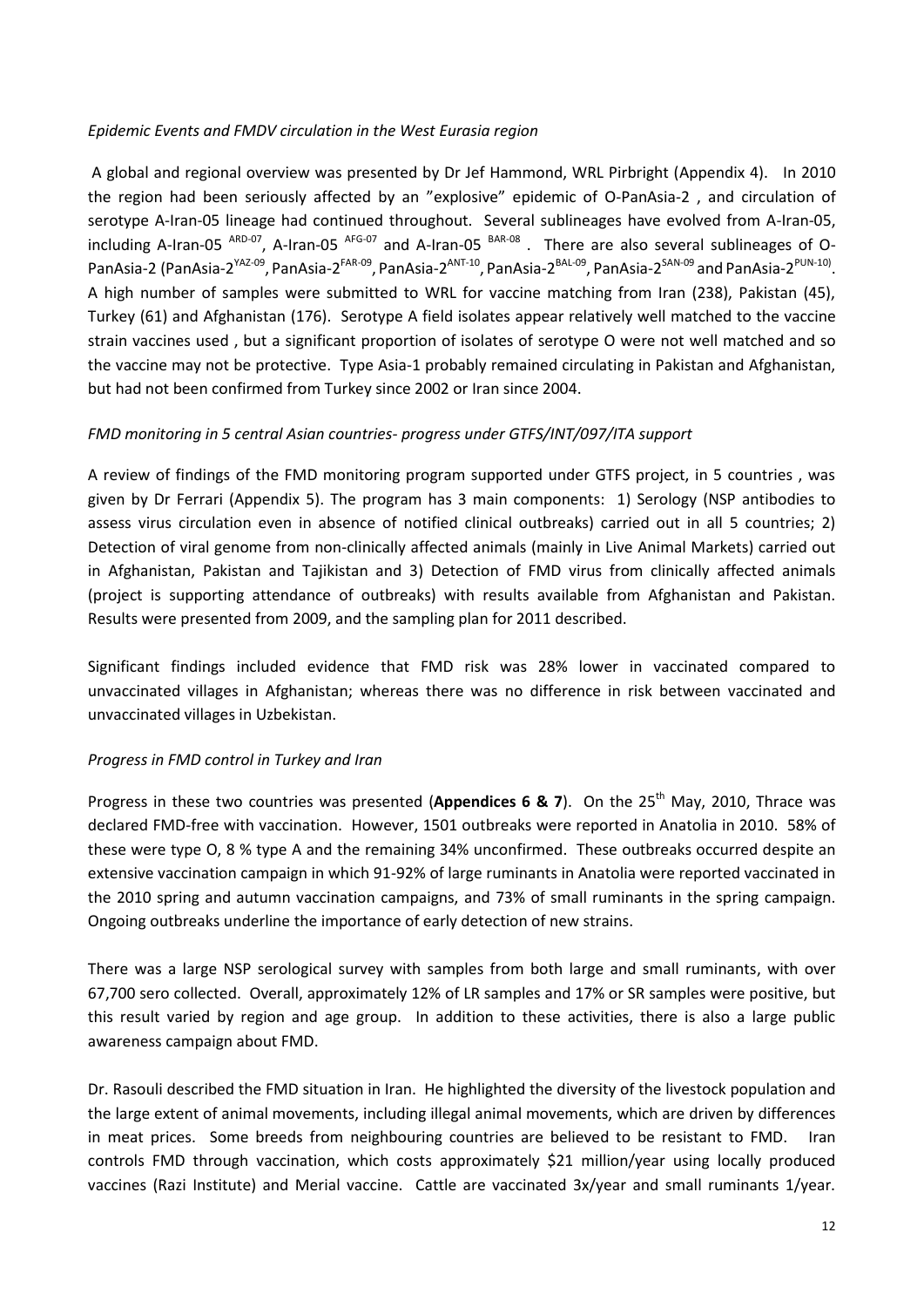#### *Epidemic Events and FMDV circulation in the West Eurasia region*

A global and regional overview was presented by Dr Jef Hammond, WRL Pirbright (Appendix 4). In 2010 the region had been seriously affected by an "explosive" epidemic of O-PanAsia-2 , and circulation of serotype A-Iran-05 lineage had continued throughout. Several sublineages have evolved from A-Iran-05, including A-Iran-05 <sup>ARD-07</sup>, A-Iran-05 <sup>AFG-07</sup> and A-Iran-05 <sup>BAR-08</sup>. There are also several sublineages of O-PanAsia-2 (PanAsia-2<sup>YAZ-09</sup>, PanAsia-2<sup>FAR-09</sup>, PanAsia-2<sup>ANT-10</sup>, PanAsia-2<sup>BAL-09</sup>, PanAsia-2<sup>SAN-09</sup> and PanAsia-2<sup>PUN-10)</sup>. A high number of samples were submitted to WRL for vaccine matching from Iran (238), Pakistan (45), Turkey (61) and Afghanistan (176). Serotype A field isolates appear relatively well matched to the vaccine strain vaccines used , but a significant proportion of isolates of serotype O were not well matched and so the vaccine may not be protective. Type Asia-1 probably remained circulating in Pakistan and Afghanistan, but had not been confirmed from Turkey since 2002 or Iran since 2004.

#### *FMD monitoring in 5 central Asian countries- progress under GTFS/INT/097/ITA support*

A review of findings of the FMD monitoring program supported under GTFS project, in 5 countries , was given by Dr Ferrari (Appendix 5). The program has 3 main components: 1) Serology (NSP antibodies to assess virus circulation even in absence of notified clinical outbreaks) carried out in all 5 countries; 2) Detection of viral genome from non-clinically affected animals (mainly in Live Animal Markets) carried out in Afghanistan, Pakistan and Tajikistan and 3) Detection of FMD virus from clinically affected animals (project is supporting attendance of outbreaks) with results available from Afghanistan and Pakistan. Results were presented from 2009, and the sampling plan for 2011 described.

Significant findings included evidence that FMD risk was 28% lower in vaccinated compared to unvaccinated villages in Afghanistan; whereas there was no difference in risk between vaccinated and unvaccinated villages in Uzbekistan.

#### *Progress in FMD control in Turkey and Iran*

Progress in these two countries was presented (**Appendices 6 & 7**). On the 25th May, 2010, Thrace was declared FMD-free with vaccination. However, 1501 outbreaks were reported in Anatolia in 2010. 58% of these were type O, 8 % type A and the remaining 34% unconfirmed. These outbreaks occurred despite an extensive vaccination campaign in which 91-92% of large ruminants in Anatolia were reported vaccinated in the 2010 spring and autumn vaccination campaigns, and 73% of small ruminants in the spring campaign. Ongoing outbreaks underline the importance of early detection of new strains.

There was a large NSP serological survey with samples from both large and small ruminants, with over 67,700 sero collected. Overall, approximately 12% of LR samples and 17% or SR samples were positive, but this result varied by region and age group. In addition to these activities, there is also a large public awareness campaign about FMD.

Dr. Rasouli described the FMD situation in Iran. He highlighted the diversity of the livestock population and the large extent of animal movements, including illegal animal movements, which are driven by differences in meat prices. Some breeds from neighbouring countries are believed to be resistant to FMD. Iran controls FMD through vaccination, which costs approximately \$21 million/year using locally produced vaccines (Razi Institute) and Merial vaccine. Cattle are vaccinated 3x/year and small ruminants 1/year.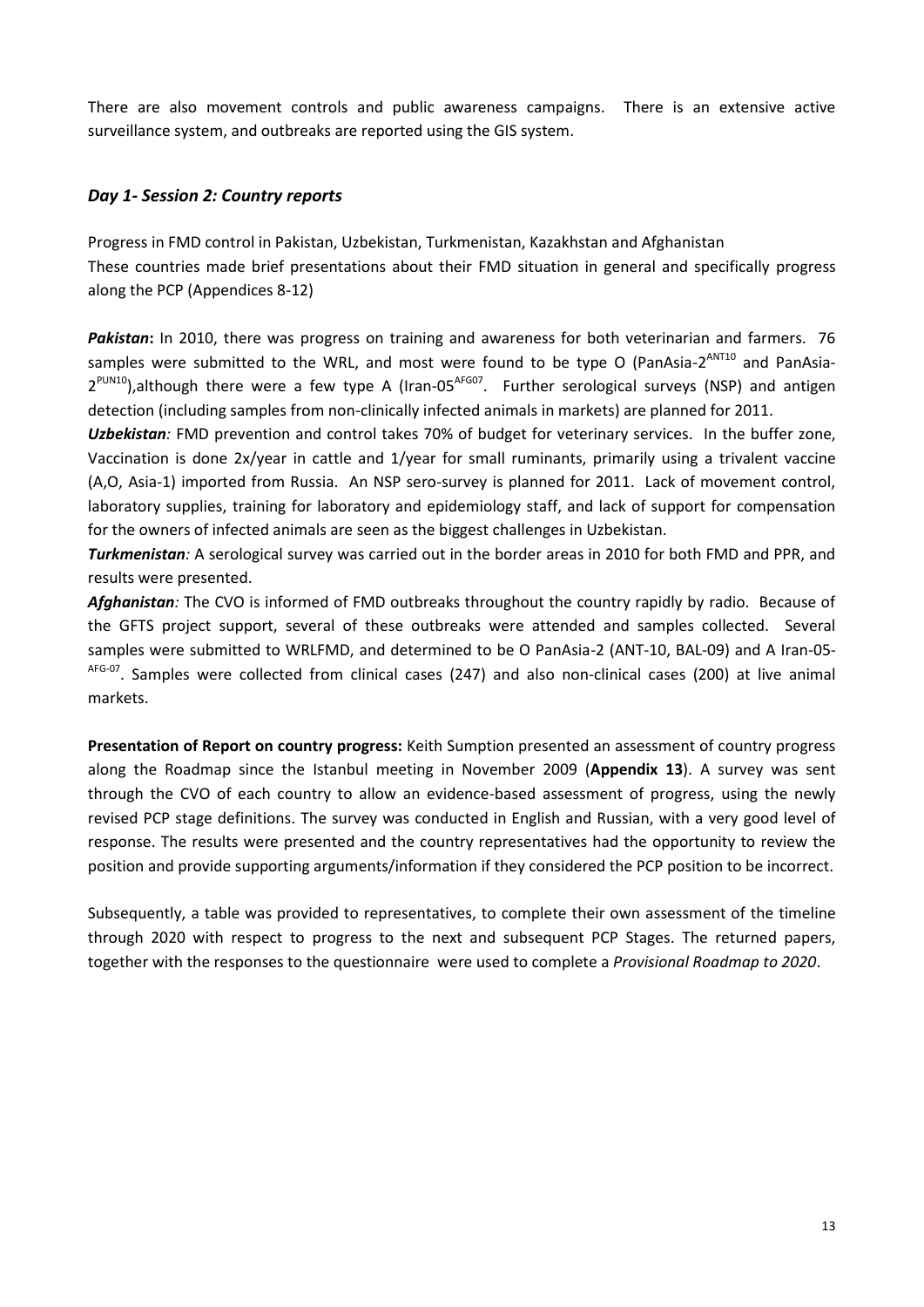There are also movement controls and public awareness campaigns. There is an extensive active surveillance system, and outbreaks are reported using the GIS system.

### <span id="page-12-0"></span>*Day 1- Session 2: Country reports*

Progress in FMD control in Pakistan, Uzbekistan, Turkmenistan, Kazakhstan and Afghanistan These countries made brief presentations about their FMD situation in general and specifically progress along the PCP (Appendices 8-12)

*Pakistan***:** In 2010, there was progress on training and awareness for both veterinarian and farmers. 76 samples were submitted to the WRL, and most were found to be type O (PanAsia-2<sup>ANT10</sup> and PanAsia-2<sup>PUN10</sup>),although there were a few type A (Iran-05<sup>AFG07</sup>. Further serological surveys (NSP) and antigen detection (including samples from non-clinically infected animals in markets) are planned for 2011.

*Uzbekistan:* FMD prevention and control takes 70% of budget for veterinary services. In the buffer zone, Vaccination is done 2x/year in cattle and 1/year for small ruminants, primarily using a trivalent vaccine (A,O, Asia-1) imported from Russia. An NSP sero-survey is planned for 2011. Lack of movement control, laboratory supplies, training for laboratory and epidemiology staff, and lack of support for compensation for the owners of infected animals are seen as the biggest challenges in Uzbekistan.

*Turkmenistan:* A serological survey was carried out in the border areas in 2010 for both FMD and PPR, and results were presented.

*Afghanistan:* The CVO is informed of FMD outbreaks throughout the country rapidly by radio. Because of the GFTS project support, several of these outbreaks were attended and samples collected. Several samples were submitted to WRLFMD, and determined to be O PanAsia-2 (ANT-10, BAL-09) and A Iran-05- AFG-07. Samples were collected from clinical cases (247) and also non-clinical cases (200) at live animal markets.

**Presentation of Report on country progress:** Keith Sumption presented an assessment of country progress along the Roadmap since the Istanbul meeting in November 2009 (**Appendix 13**). A survey was sent through the CVO of each country to allow an evidence-based assessment of progress, using the newly revised PCP stage definitions. The survey was conducted in English and Russian, with a very good level of response. The results were presented and the country representatives had the opportunity to review the position and provide supporting arguments/information if they considered the PCP position to be incorrect.

Subsequently, a table was provided to representatives, to complete their own assessment of the timeline through 2020 with respect to progress to the next and subsequent PCP Stages. The returned papers, together with the responses to the questionnaire were used to complete a *Provisional Roadmap to 2020*.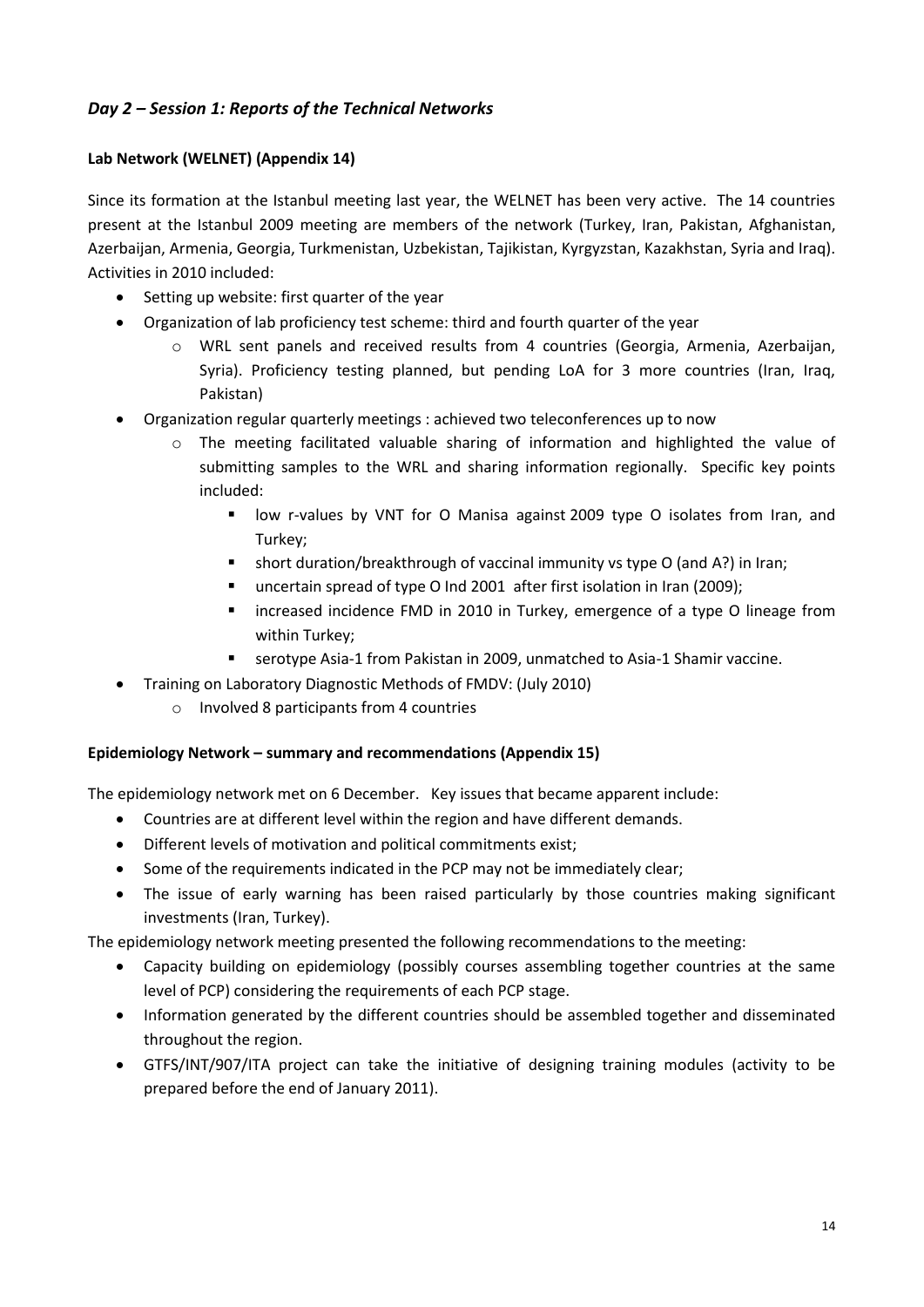## <span id="page-13-0"></span>*Day 2 – Session 1: Reports of the Technical Networks*

#### **Lab Network (WELNET) (Appendix 14)**

Since its formation at the Istanbul meeting last year, the WELNET has been very active. The 14 countries present at the Istanbul 2009 meeting are members of the network (Turkey, Iran, Pakistan, Afghanistan, Azerbaijan, Armenia, Georgia, Turkmenistan, Uzbekistan, Tajikistan, Kyrgyzstan, Kazakhstan, Syria and Iraq). Activities in 2010 included:

- Setting up website: first quarter of the year
- Organization of lab proficiency test scheme: third and fourth quarter of the year
	- o WRL sent panels and received results from 4 countries (Georgia, Armenia, Azerbaijan, Syria). Proficiency testing planned, but pending LoA for 3 more countries (Iran, Iraq, Pakistan)
- Organization regular quarterly meetings : achieved two teleconferences up to now
	- The meeting facilitated valuable sharing of information and highlighted the value of submitting samples to the WRL and sharing information regionally. Specific key points included:
		- low r-values by VNT for O Manisa against 2009 type O isolates from Iran, and Turkey;
		- short duration/breakthrough of vaccinal immunity vs type O (and A?) in Iran;
		- uncertain spread of type O Ind 2001 after first isolation in Iran (2009);
		- increased incidence FMD in 2010 in Turkey, emergence of a type O lineage from within Turkey;
		- serotype Asia-1 from Pakistan in 2009, unmatched to Asia-1 Shamir vaccine.
- Training on Laboratory Diagnostic Methods of FMDV: (July 2010)
	- o Involved 8 participants from 4 countries

#### **Epidemiology Network – summary and recommendations (Appendix 15)**

The epidemiology network met on 6 December. Key issues that became apparent include:

- Countries are at different level within the region and have different demands.
- Different levels of motivation and political commitments exist;
- Some of the requirements indicated in the PCP may not be immediately clear;
- The issue of early warning has been raised particularly by those countries making significant investments (Iran, Turkey).

The epidemiology network meeting presented the following recommendations to the meeting:

- Capacity building on epidemiology (possibly courses assembling together countries at the same level of PCP) considering the requirements of each PCP stage.
- Information generated by the different countries should be assembled together and disseminated throughout the region.
- GTFS/INT/907/ITA project can take the initiative of designing training modules (activity to be prepared before the end of January 2011).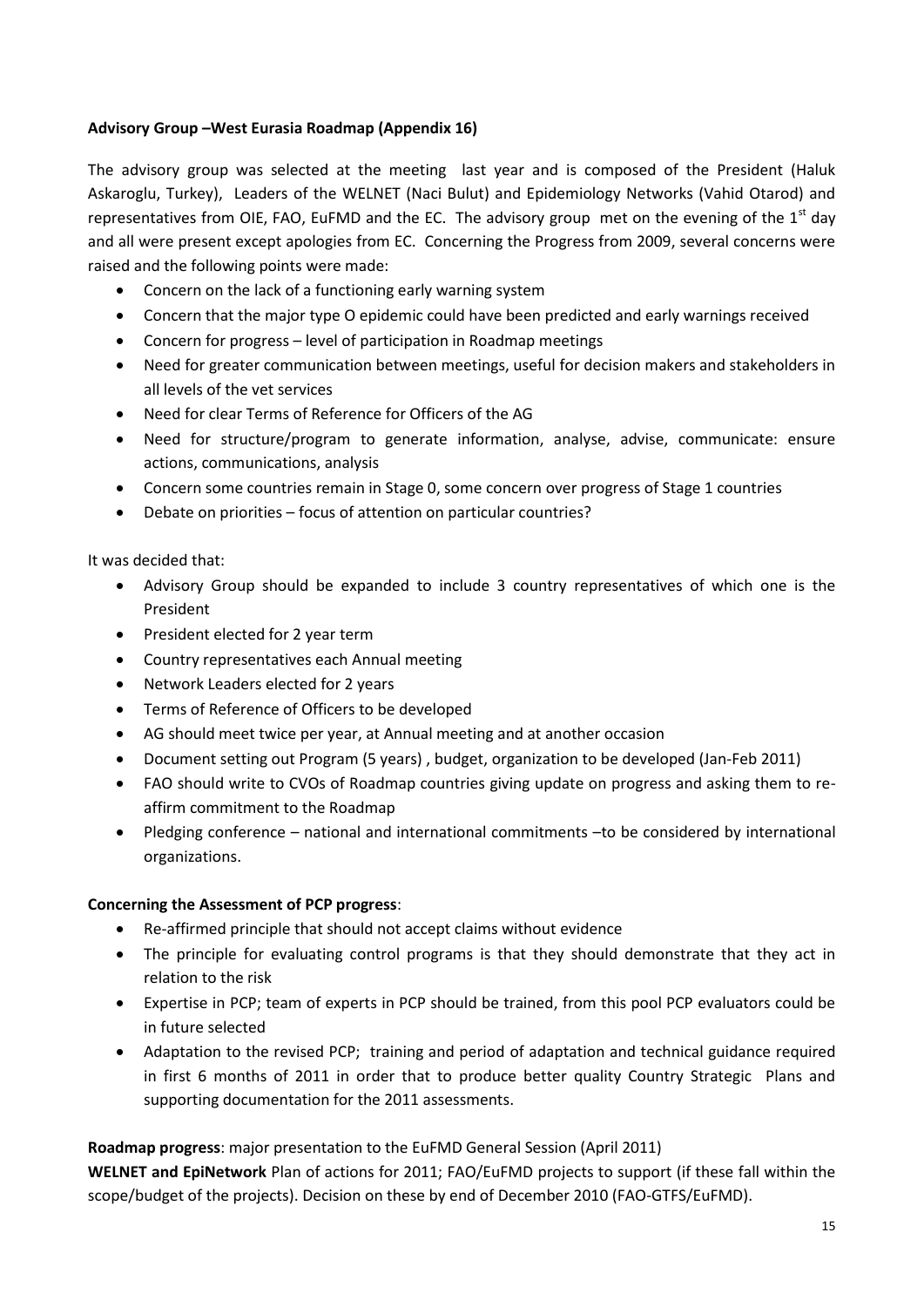#### **Advisory Group –West Eurasia Roadmap (Appendix 16)**

The advisory group was selected at the meeting last year and is composed of the President (Haluk Askaroglu, Turkey), Leaders of the WELNET (Naci Bulut) and Epidemiology Networks (Vahid Otarod) and representatives from OIE, FAO, EuFMD and the EC. The advisory group met on the evening of the  $1<sup>st</sup>$  day and all were present except apologies from EC. Concerning the Progress from 2009, several concerns were raised and the following points were made:

- Concern on the lack of a functioning early warning system
- Concern that the major type O epidemic could have been predicted and early warnings received
- Concern for progress level of participation in Roadmap meetings
- Need for greater communication between meetings, useful for decision makers and stakeholders in all levels of the vet services
- Need for clear Terms of Reference for Officers of the AG
- Need for structure/program to generate information, analyse, advise, communicate: ensure actions, communications, analysis
- Concern some countries remain in Stage 0, some concern over progress of Stage 1 countries
- Debate on priorities focus of attention on particular countries?

It was decided that:

- Advisory Group should be expanded to include 3 country representatives of which one is the President
- President elected for 2 year term
- Country representatives each Annual meeting
- Network Leaders elected for 2 years
- Terms of Reference of Officers to be developed
- AG should meet twice per year, at Annual meeting and at another occasion
- Document setting out Program (5 years) , budget, organization to be developed (Jan-Feb 2011)
- FAO should write to CVOs of Roadmap countries giving update on progress and asking them to reaffirm commitment to the Roadmap
- Pledging conference national and international commitments –to be considered by international organizations.

#### **Concerning the Assessment of PCP progress**:

- Re-affirmed principle that should not accept claims without evidence
- The principle for evaluating control programs is that they should demonstrate that they act in relation to the risk
- Expertise in PCP; team of experts in PCP should be trained, from this pool PCP evaluators could be in future selected
- Adaptation to the revised PCP; training and period of adaptation and technical guidance required in first 6 months of 2011 in order that to produce better quality Country Strategic Plans and supporting documentation for the 2011 assessments.

#### **Roadmap progress**: major presentation to the EuFMD General Session (April 2011)

**WELNET and EpiNetwork** Plan of actions for 2011; FAO/EuFMD projects to support (if these fall within the scope/budget of the projects). Decision on these by end of December 2010 (FAO-GTFS/EuFMD).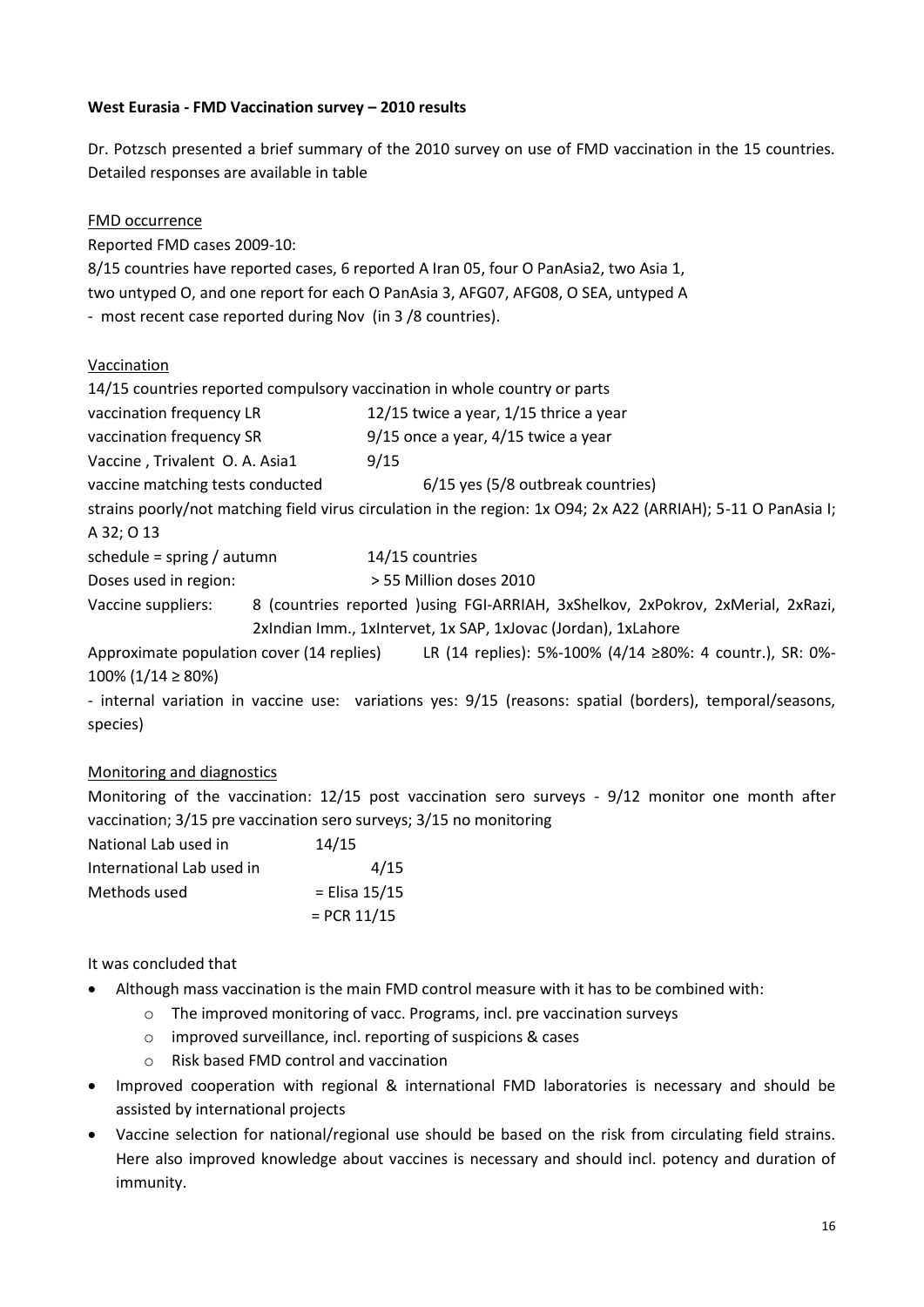#### **West Eurasia - FMD Vaccination survey – 2010 results**

Dr. Potzsch presented a brief summary of the 2010 survey on use of FMD vaccination in the 15 countries. Detailed responses are available in table

| <b>FMD occurrence</b>                                                     |                                                                                                               |  |  |  |  |  |  |  |
|---------------------------------------------------------------------------|---------------------------------------------------------------------------------------------------------------|--|--|--|--|--|--|--|
|                                                                           |                                                                                                               |  |  |  |  |  |  |  |
| Reported FMD cases 2009-10:                                               |                                                                                                               |  |  |  |  |  |  |  |
|                                                                           | 8/15 countries have reported cases, 6 reported A Iran 05, four O PanAsia2, two Asia 1,                        |  |  |  |  |  |  |  |
|                                                                           | two untyped O, and one report for each O PanAsia 3, AFG07, AFG08, O SEA, untyped A                            |  |  |  |  |  |  |  |
| - most recent case reported during Nov (in 3/8 countries).                |                                                                                                               |  |  |  |  |  |  |  |
|                                                                           |                                                                                                               |  |  |  |  |  |  |  |
| Vaccination                                                               |                                                                                                               |  |  |  |  |  |  |  |
| 14/15 countries reported compulsory vaccination in whole country or parts |                                                                                                               |  |  |  |  |  |  |  |
| vaccination frequency LR                                                  | 12/15 twice a year, 1/15 thrice a year                                                                        |  |  |  |  |  |  |  |
| vaccination frequency SR                                                  | $9/15$ once a year, $4/15$ twice a year                                                                       |  |  |  |  |  |  |  |
| Vaccine, Trivalent O. A. Asia1 9/15                                       |                                                                                                               |  |  |  |  |  |  |  |
| vaccine matching tests conducted                                          | 6/15 yes (5/8 outbreak countries)                                                                             |  |  |  |  |  |  |  |
|                                                                           | strains poorly/not matching field virus circulation in the region: 1x O94; 2x A22 (ARRIAH); 5-11 O PanAsia I; |  |  |  |  |  |  |  |
| A 32; O 13                                                                |                                                                                                               |  |  |  |  |  |  |  |
| schedule = spring / autumn                                                | 14/15 countries                                                                                               |  |  |  |  |  |  |  |
| Doses used in region:                                                     | > 55 Million doses 2010                                                                                       |  |  |  |  |  |  |  |
|                                                                           | Vaccine suppliers: 8 (countries reported )using FGI-ARRIAH, 3xShelkov, 2xPokrov, 2xMerial, 2xRazi,            |  |  |  |  |  |  |  |
|                                                                           | 2xIndian Imm., 1xIntervet, 1x SAP, 1xJovac (Jordan), 1xLahore                                                 |  |  |  |  |  |  |  |
|                                                                           | Approximate population cover (14 replies) LR (14 replies): 5%-100% (4/14 $\geq$ 80%: 4 countr.), SR: 0%-      |  |  |  |  |  |  |  |
| $100\%$ (1/14 $\geq 80\%$ )                                               |                                                                                                               |  |  |  |  |  |  |  |
|                                                                           | - internal variation in vaccine use: variations yes: 9/15 (reasons: spatial (borders), temporal/seasons,      |  |  |  |  |  |  |  |
| species)                                                                  |                                                                                                               |  |  |  |  |  |  |  |
|                                                                           |                                                                                                               |  |  |  |  |  |  |  |

#### Monitoring and diagnostics

Monitoring of the vaccination: 12/15 post vaccination sero surveys - 9/12 monitor one month after vaccination; 3/15 pre vaccination sero surveys; 3/15 no monitoring

| National Lab used in      | 14/15         |
|---------------------------|---------------|
| International Lab used in | 4/15          |
| Methods used              | = Elisa 15/15 |
|                           | $=$ PCR 11/15 |

#### It was concluded that

- Although mass vaccination is the main FMD control measure with it has to be combined with:
	- o The improved monitoring of vacc. Programs, incl. pre vaccination surveys
	- o improved surveillance, incl. reporting of suspicions & cases
	- o Risk based FMD control and vaccination
- Improved cooperation with regional & international FMD laboratories is necessary and should be assisted by international projects
- Vaccine selection for national/regional use should be based on the risk from circulating field strains. Here also improved knowledge about vaccines is necessary and should incl. potency and duration of immunity.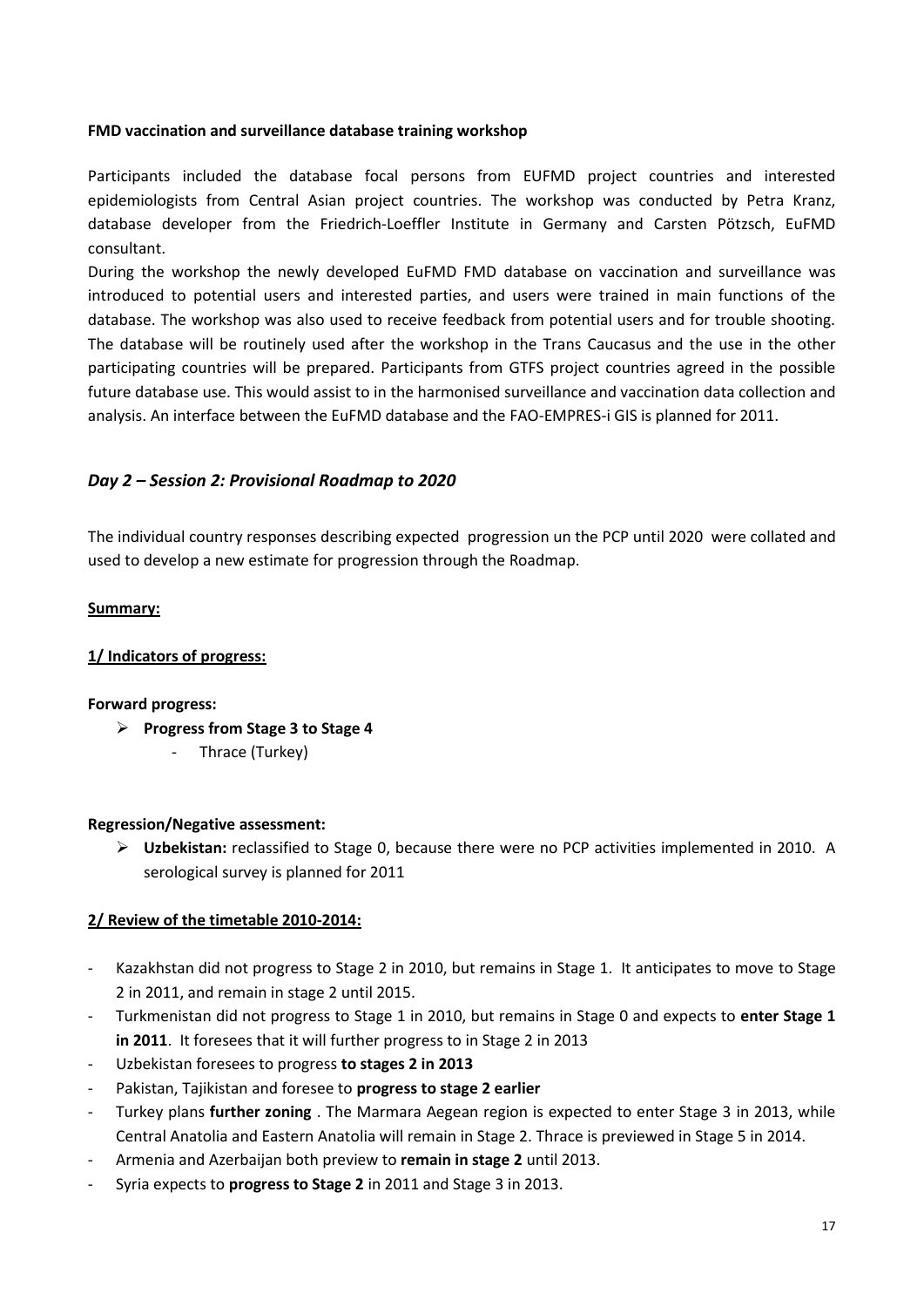#### **FMD vaccination and surveillance database training workshop**

Participants included the database focal persons from EUFMD project countries and interested epidemiologists from Central Asian project countries. The workshop was conducted by Petra Kranz, database developer from the Friedrich-Loeffler Institute in Germany and Carsten Pötzsch, EuFMD consultant.

During the workshop the newly developed EuFMD FMD database on vaccination and surveillance was introduced to potential users and interested parties, and users were trained in main functions of the database. The workshop was also used to receive feedback from potential users and for trouble shooting. The database will be routinely used after the workshop in the Trans Caucasus and the use in the other participating countries will be prepared. Participants from GTFS project countries agreed in the possible future database use. This would assist to in the harmonised surveillance and vaccination data collection and analysis. An interface between the EuFMD database and the FAO-EMPRES-i GIS is planned for 2011.

#### <span id="page-16-0"></span>*Day 2 – Session 2: Provisional Roadmap to 2020*

The individual country responses describing expected progression un the PCP until 2020 were collated and used to develop a new estimate for progression through the Roadmap.

#### **Summary:**

#### **1/ Indicators of progress:**

#### **Forward progress:**

- **Progress from Stage 3 to Stage 4**
	- Thrace (Turkey)

#### **Regression/Negative assessment:**

 **Uzbekistan:** reclassified to Stage 0, because there were no PCP activities implemented in 2010. A serological survey is planned for 2011

#### **2/ Review of the timetable 2010-2014:**

- Kazakhstan did not progress to Stage 2 in 2010, but remains in Stage 1. It anticipates to move to Stage 2 in 2011, and remain in stage 2 until 2015.
- Turkmenistan did not progress to Stage 1 in 2010, but remains in Stage 0 and expects to **enter Stage 1 in 2011**. It foresees that it will further progress to in Stage 2 in 2013
- Uzbekistan foresees to progress **to stages 2 in 2013**
- Pakistan, Tajikistan and foresee to **progress to stage 2 earlier**
- Turkey plans **further zoning** . The Marmara Aegean region is expected to enter Stage 3 in 2013, while Central Anatolia and Eastern Anatolia will remain in Stage 2. Thrace is previewed in Stage 5 in 2014.
- Armenia and Azerbaijan both preview to **remain in stage 2** until 2013.
- Syria expects to **progress to Stage 2** in 2011 and Stage 3 in 2013.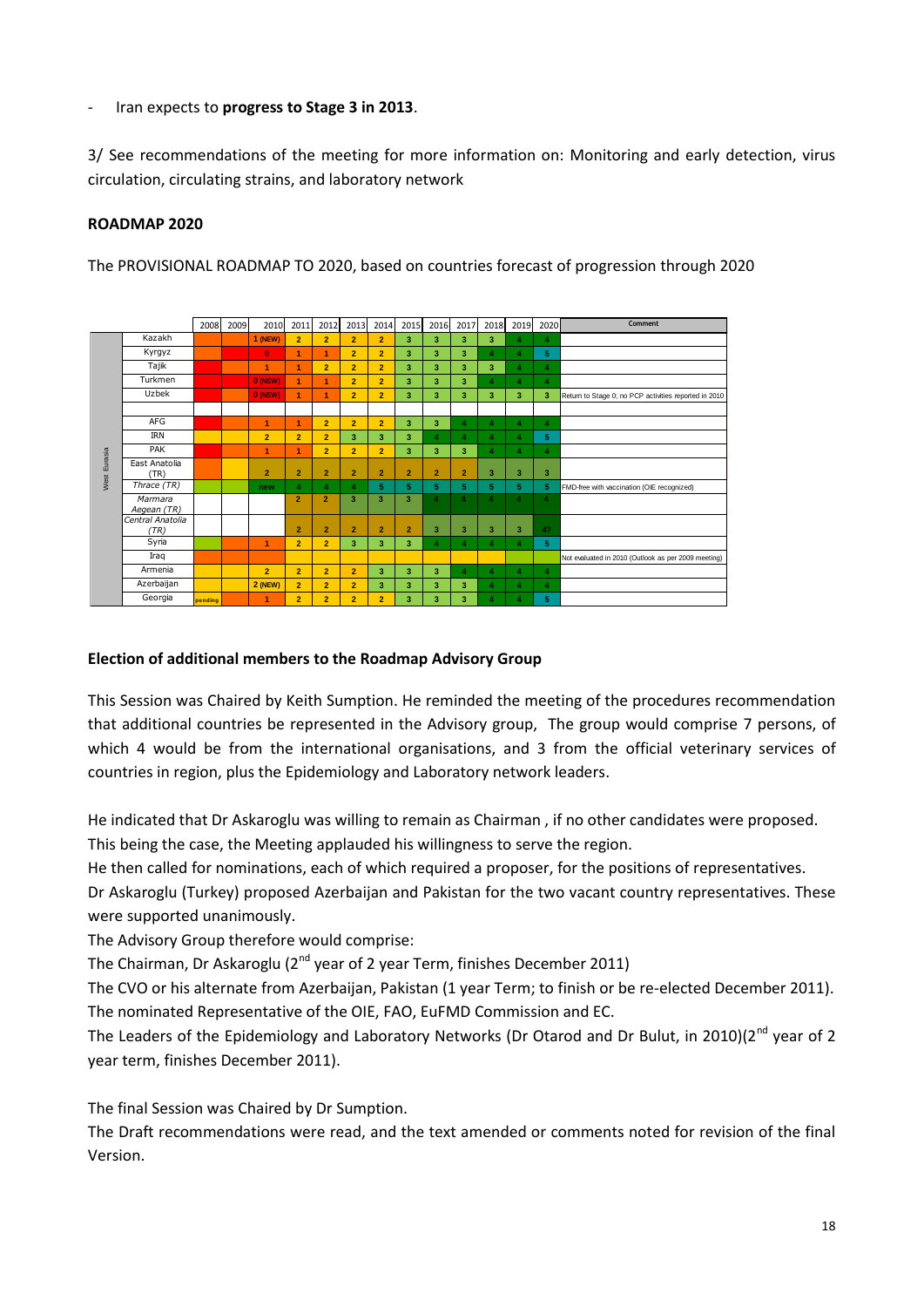- Iran expects to **progress to Stage 3 in 2013**.

3/ See recommendations of the meeting for more information on: Monitoring and early detection, virus circulation, circulating strains, and laboratory network

#### **ROADMAP 2020**

The PROVISIONAL ROADMAP TO 2020, based on countries forecast of progression through 2020



#### **Election of additional members to the Roadmap Advisory Group**

This Session was Chaired by Keith Sumption. He reminded the meeting of the procedures recommendation that additional countries be represented in the Advisory group, The group would comprise 7 persons, of which 4 would be from the international organisations, and 3 from the official veterinary services of countries in region, plus the Epidemiology and Laboratory network leaders.

He indicated that Dr Askaroglu was willing to remain as Chairman , if no other candidates were proposed. This being the case, the Meeting applauded his willingness to serve the region.

He then called for nominations, each of which required a proposer, for the positions of representatives. Dr Askaroglu (Turkey) proposed Azerbaijan and Pakistan for the two vacant country representatives. These were supported unanimously.

The Advisory Group therefore would comprise:

The Chairman, Dr Askaroglu ( $2^{nd}$  year of 2 year Term, finishes December 2011)

The CVO or his alternate from Azerbaijan, Pakistan (1 year Term; to finish or be re-elected December 2011). The nominated Representative of the OIE, FAO, EuFMD Commission and EC.

The Leaders of the Epidemiology and Laboratory Networks (Dr Otarod and Dr Bulut, in 2010)(2<sup>nd</sup> year of 2 year term, finishes December 2011).

The final Session was Chaired by Dr Sumption.

The Draft recommendations were read, and the text amended or comments noted for revision of the final Version.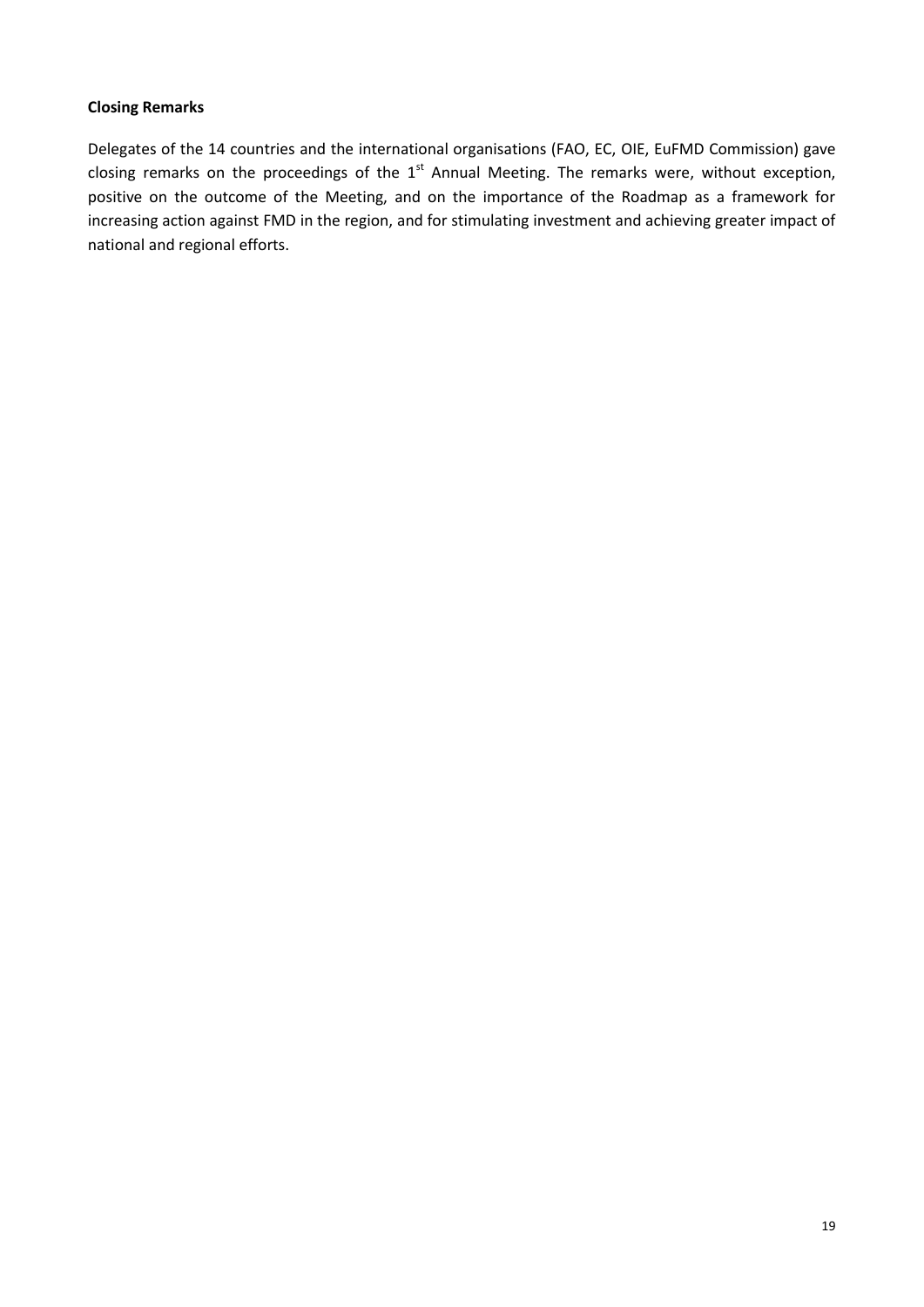#### **Closing Remarks**

Delegates of the 14 countries and the international organisations (FAO, EC, OIE, EuFMD Commission) gave closing remarks on the proceedings of the  $1<sup>st</sup>$  Annual Meeting. The remarks were, without exception, positive on the outcome of the Meeting, and on the importance of the Roadmap as a framework for increasing action against FMD in the region, and for stimulating investment and achieving greater impact of national and regional efforts.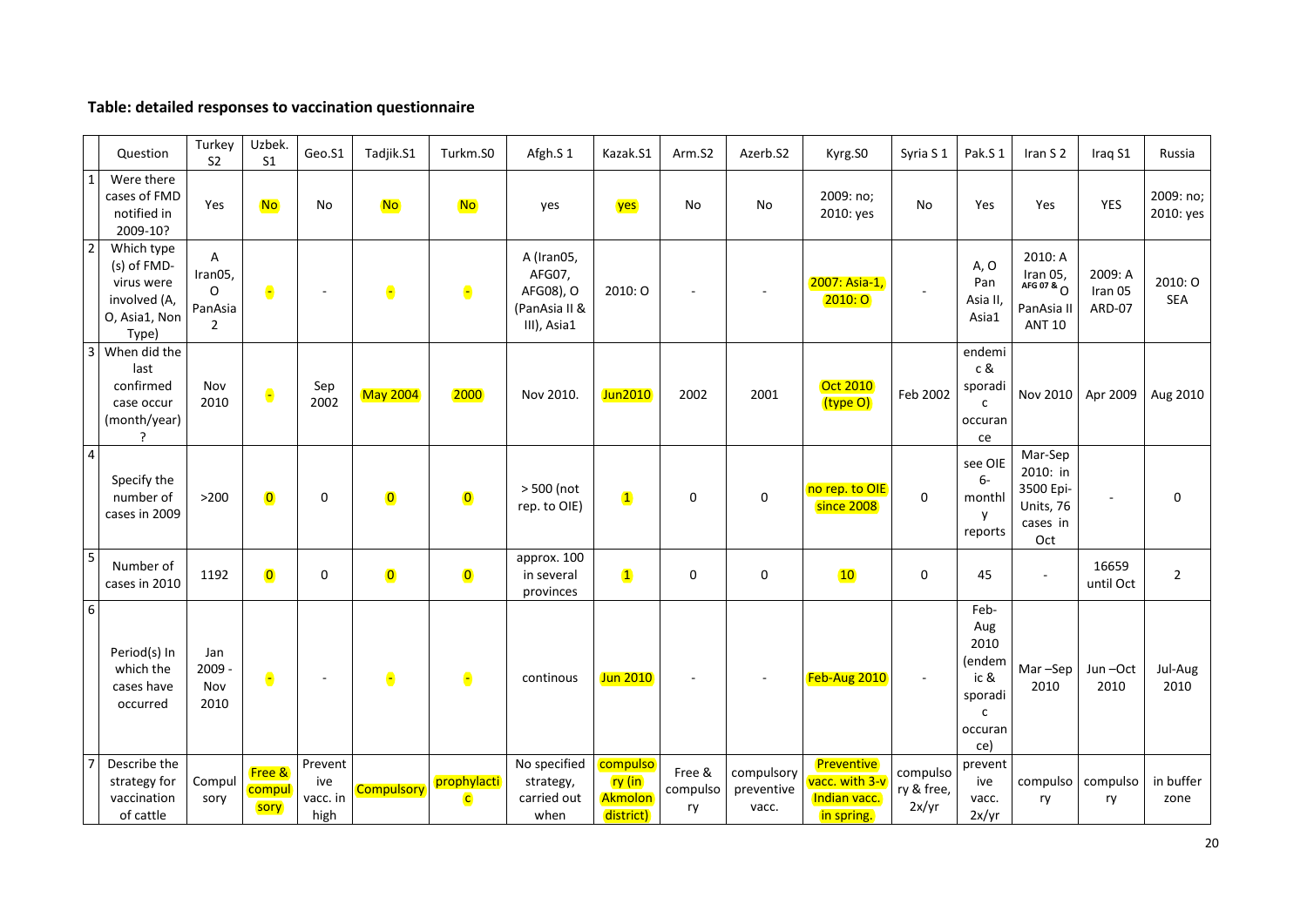#### **Table: detailed responses to vaccination questionnaire**

|                          | Question                                                                          | Turkey<br>S <sub>2</sub>                              | Uzbek.<br>S <sub>1</sub> | Geo.S1                             | Tadjik.S1               | Turkm.S0                               | Afgh.S 1                                                          | Kazak.S1                                                | Arm.S2                   | Azerb.S2                          | Kyrg.SO                                                    | Syria S 1                       | Pak.S 1                                                                            | Iran S 2                                                                       | Iraq S1                      | Russia                 |
|--------------------------|-----------------------------------------------------------------------------------|-------------------------------------------------------|--------------------------|------------------------------------|-------------------------|----------------------------------------|-------------------------------------------------------------------|---------------------------------------------------------|--------------------------|-----------------------------------|------------------------------------------------------------|---------------------------------|------------------------------------------------------------------------------------|--------------------------------------------------------------------------------|------------------------------|------------------------|
| $\overline{1}$           | Were there<br>cases of FMD<br>notified in<br>2009-10?                             | Yes                                                   | <b>No</b>                | No                                 | <b>No</b>               | <b>No</b>                              | yes                                                               | yes                                                     | No                       | No                                | 2009: no;<br>2010: yes                                     | <b>No</b>                       | Yes                                                                                | Yes                                                                            | YES                          | 2009: no;<br>2010: yes |
| $\overline{2}$           | Which type<br>(s) of FMD-<br>virus were<br>involved (A,<br>O, Asia1, Non<br>Type) | A<br>Iran05,<br>$\Omega$<br>PanAsia<br>$\overline{2}$ | $\bullet$                |                                    | $\bullet$               | $\bullet$                              | A (Iran05,<br>AFG07,<br>AFG08), O<br>(PanAsia II &<br>III), Asia1 | 2010: O                                                 |                          |                                   | 2007: Asia-1,<br>2010:0                                    |                                 | A, O<br>Pan<br>Asia II,<br>Asia1                                                   | 2010: A<br>$\frac{1}{4}$ arg 07 & $\frac{1}{4}$<br>PanAsia II<br><b>ANT 10</b> | 2009: A<br>Iran 05<br>ARD-07 | 2010: O<br>SEA         |
| $\overline{\mathbf{3}}$  | When did the<br>last<br>confirmed<br>case occur<br>(month/year)<br>?              | Nov<br>2010                                           | $\bullet$                | Sep<br>2002                        | <b>May 2004</b>         | 2000                                   | Nov 2010.                                                         | Jun2010                                                 | 2002                     | 2001                              | <b>Oct 2010</b><br>(type O)                                | Feb 2002                        | endemi<br>c &<br>sporadi<br>$\mathsf{C}$<br>occuran<br>ce                          | Nov 2010                                                                       | Apr 2009                     | Aug 2010               |
| $\overline{4}$           | Specify the<br>number of<br>cases in 2009                                         | $>200$                                                | $\bullet$                | 0                                  | $\overline{\mathbf{0}}$ | $\overline{\mathbf{0}}$                | > 500 (not<br>rep. to OIE)                                        | $\overline{\mathbf{1}}$                                 | $\mathbf 0$              | $\boldsymbol{0}$                  | no rep. to OIE<br>since 2008                               | $\mathbf 0$                     | see OIE<br>$6-$<br>monthl<br>y<br>reports                                          | Mar-Sep<br>2010: in<br>3500 Epi-<br>Units, 76<br>cases in<br>Oct               | $\blacksquare$               | $\mathbf 0$            |
| $\overline{\phantom{a}}$ | Number of<br>cases in 2010                                                        | 1192                                                  | $\overline{\mathbf{0}}$  | 0                                  | $\bullet$               | $\overline{\mathbf{0}}$                | approx. 100<br>in several<br>provinces                            | $\mathbf{1}$                                            | $\mathbf 0$              | 0                                 | 10                                                         | 0                               | 45                                                                                 | $\sim$                                                                         | 16659<br>until Oct           | $\overline{2}$         |
| $6\overline{6}$          | Period(s) In<br>which the<br>cases have<br>occurred                               | Jan<br>$2009 -$<br>Nov<br>2010                        | $\bullet$                |                                    | $\bullet$               | $\bullet$                              | continous                                                         | Jun 2010                                                |                          |                                   | Feb-Aug 2010                                               |                                 | Feb-<br>Aug<br>2010<br>(endem<br>ic &<br>sporadi<br>$\mathsf{C}$<br>occuran<br>ce) | Mar-Sep<br>2010                                                                | Jun-Oct<br>2010              | Jul-Aug<br>2010        |
| $\overline{7}$           | Describe the<br>strategy for<br>vaccination<br>of cattle                          | Compul<br>sory                                        | Free &<br>compul<br>sory | Prevent<br>ive<br>vacc. in<br>high | <b>Compulsory</b>       | prophylacti<br>$\overline{\mathsf{c}}$ | No specified<br>strategy,<br>carried out<br>when                  | compulso<br><mark>ry (in</mark><br>Akmolon<br>district) | Free &<br>compulso<br>ry | compulsory<br>preventive<br>vacc. | Preventive<br>vacc. with 3-v<br>Indian vacc.<br>in spring. | compulso<br>ry & free,<br>2x/yr | prevent<br>ive<br>vacc.<br>2x/yr                                                   | compulso<br>ry                                                                 | compulso<br>ry               | in buffer<br>zone      |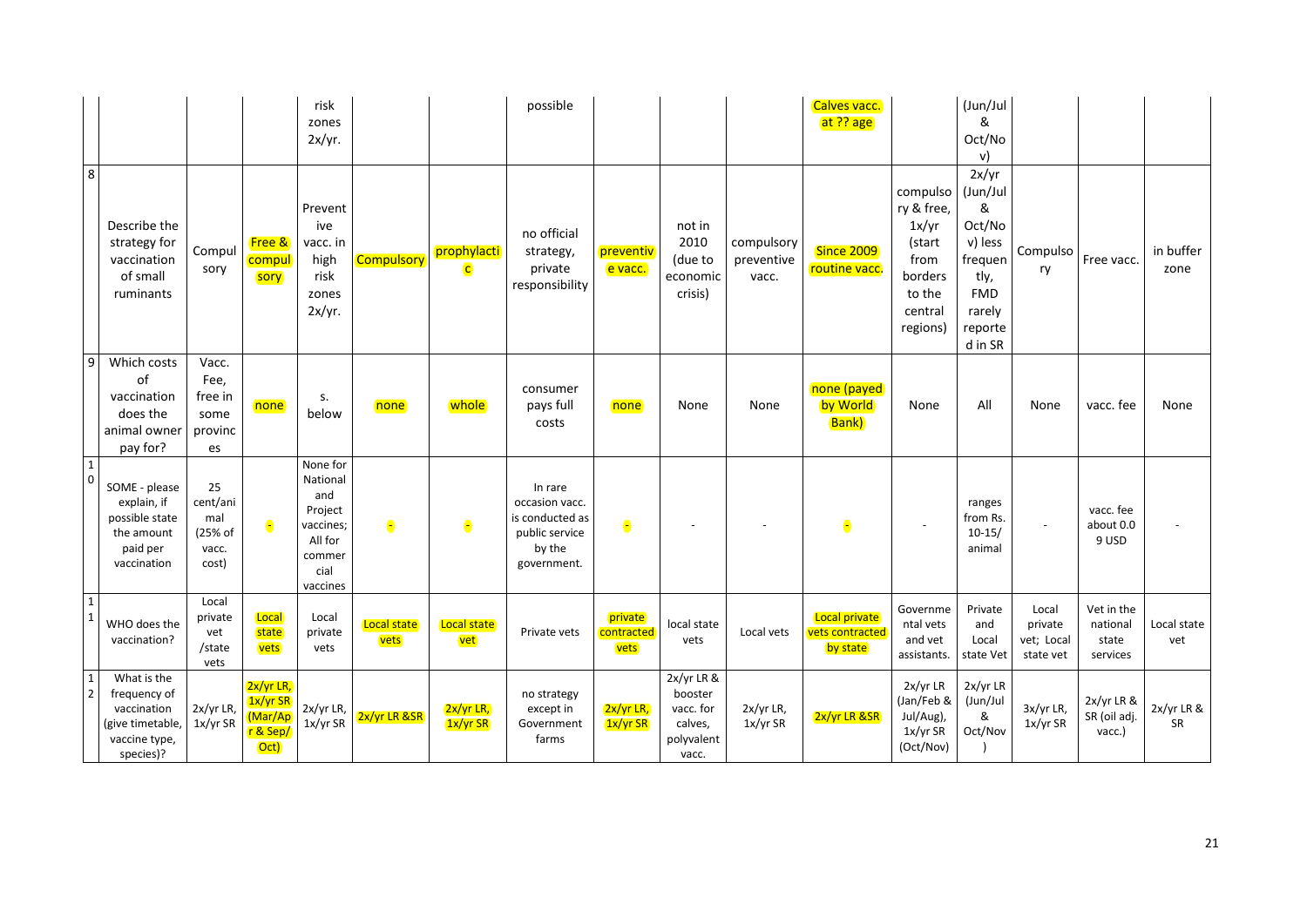|                               |                                                                                              |                                                    |                                                        | risk<br>zones<br>2x/yr.                                                                      |                     |                             | possible                                                                                |                               |                                                                      |                                   | Calves vacc.<br>at ?? age                    |                                                                                               | (Jun/Jul<br>&<br>Oct/No<br>v)                                                                                |                                             |                                             |                    |
|-------------------------------|----------------------------------------------------------------------------------------------|----------------------------------------------------|--------------------------------------------------------|----------------------------------------------------------------------------------------------|---------------------|-----------------------------|-----------------------------------------------------------------------------------------|-------------------------------|----------------------------------------------------------------------|-----------------------------------|----------------------------------------------|-----------------------------------------------------------------------------------------------|--------------------------------------------------------------------------------------------------------------|---------------------------------------------|---------------------------------------------|--------------------|
| $\,$ 8 $\,$                   | Describe the<br>strategy for<br>vaccination<br>of small<br>ruminants                         | Compul<br>sory                                     | <b>Free &amp;</b><br>compul<br>sory                    | Prevent<br>ive<br>vacc. in<br>high<br>risk<br>zones<br>2x/yr.                                | Compulsory          | prophylacti<br>$\mathsf{C}$ | no official<br>strategy,<br>private<br>responsibility                                   | preventiv<br>e vacc.          | not in<br>2010<br>(due to<br>economic<br>crisis)                     | compulsory<br>preventive<br>vacc. | Since 2009<br>routine vacc.                  | compulso<br>ry & free,<br>1x/yr<br>(start<br>from<br>borders<br>to the<br>central<br>regions) | 2x/yr<br>(Jun/Jul<br>&<br>Oct/No<br>v) less<br>frequen<br>tly,<br><b>FMD</b><br>rarely<br>reporte<br>d in SR | Compulso<br>ry                              | Free vacc.                                  | in buffer<br>zone  |
| $\boldsymbol{9}$              | Which costs<br>of<br>vaccination<br>does the<br>animal owner<br>pay for?                     | Vacc.<br>Fee,<br>free in<br>some<br>provinc<br>es  | none                                                   | s.<br>below                                                                                  | none                | whole                       | consumer<br>pays full<br>costs                                                          | none                          | None                                                                 | None                              | none (payed)<br>by World<br><b>Bank</b> )    | None                                                                                          | All                                                                                                          | None                                        | vacc. fee                                   | None               |
| $\mathbf{1}$<br>$\mathbf 0$   | SOME - please<br>explain, if<br>possible state<br>the amount<br>paid per<br>vaccination      | 25<br>cent/ani<br>mal<br>(25% of<br>vacc.<br>cost) | $\bullet$                                              | None for<br>National<br>and<br>Project<br>vaccines;<br>All for<br>commer<br>cial<br>vaccines | Θ                   | $\bullet$                   | In rare<br>occasion vacc.<br>is conducted as<br>public service<br>by the<br>government. | $\bullet$                     |                                                                      |                                   | $\bullet$                                    |                                                                                               | ranges<br>from Rs.<br>$10-15/$<br>animal                                                                     |                                             | vacc. fee<br>about 0.0<br>9 USD             |                    |
| $\mathbf 1$<br>$\mathbf{1}$   | WHO does the<br>vaccination?                                                                 | Local<br>private<br>vet<br>/state<br>vets          | Local<br>state<br>vets                                 | Local<br>private<br>vets                                                                     | Local state<br>vets | <b>Local state</b><br>vet   | Private vets                                                                            | private<br>contracted<br>vets | local state<br>vets                                                  | Local vets                        | Local private<br>vets contracted<br>by state | Governme<br>ntal vets<br>and vet<br>assistants.                                               | Private<br>and<br>Local<br>state Vet                                                                         | Local<br>private<br>vet; Local<br>state vet | Vet in the<br>national<br>state<br>services | Local state<br>vet |
| $\mathbf 1$<br>$\overline{2}$ | What is the<br>frequency of<br>vaccination<br>(give timetable,<br>vaccine type,<br>species)? | 2x/yr LR,<br>1x/yr SR                              | $2x/yr$ LR,<br>1x/yr SR<br>(Mar/Ap<br>r & Sep/<br>Oct) | 2x/yr LR,<br>1x/yr SR                                                                        | 2x/yr LR &SR        | 2x/yr LR,<br>1x/yr SR       | no strategy<br>except in<br>Government<br>farms                                         | 2x/yr LR,<br>$1x/yr$ SR       | 2x/yr LR &<br>booster<br>vacc. for<br>calves,<br>polyvalent<br>vacc. | 2x/yr LR,<br>1x/yr SR             | 2x/yr LR &SR                                 | 2x/yr LR<br>(Jan/Feb &<br>Jul/Aug),<br>1x/yr SR<br>(Oct/Nov)                                  | 2x/yr LR<br>(Jun/Jul<br>&<br>Oct/Nov                                                                         | 3x/yr LR,<br>1x/yr SR                       | 2x/yr LR &<br>SR (oil adj.<br>vacc.)        | 2x/yr LR &<br>SR   |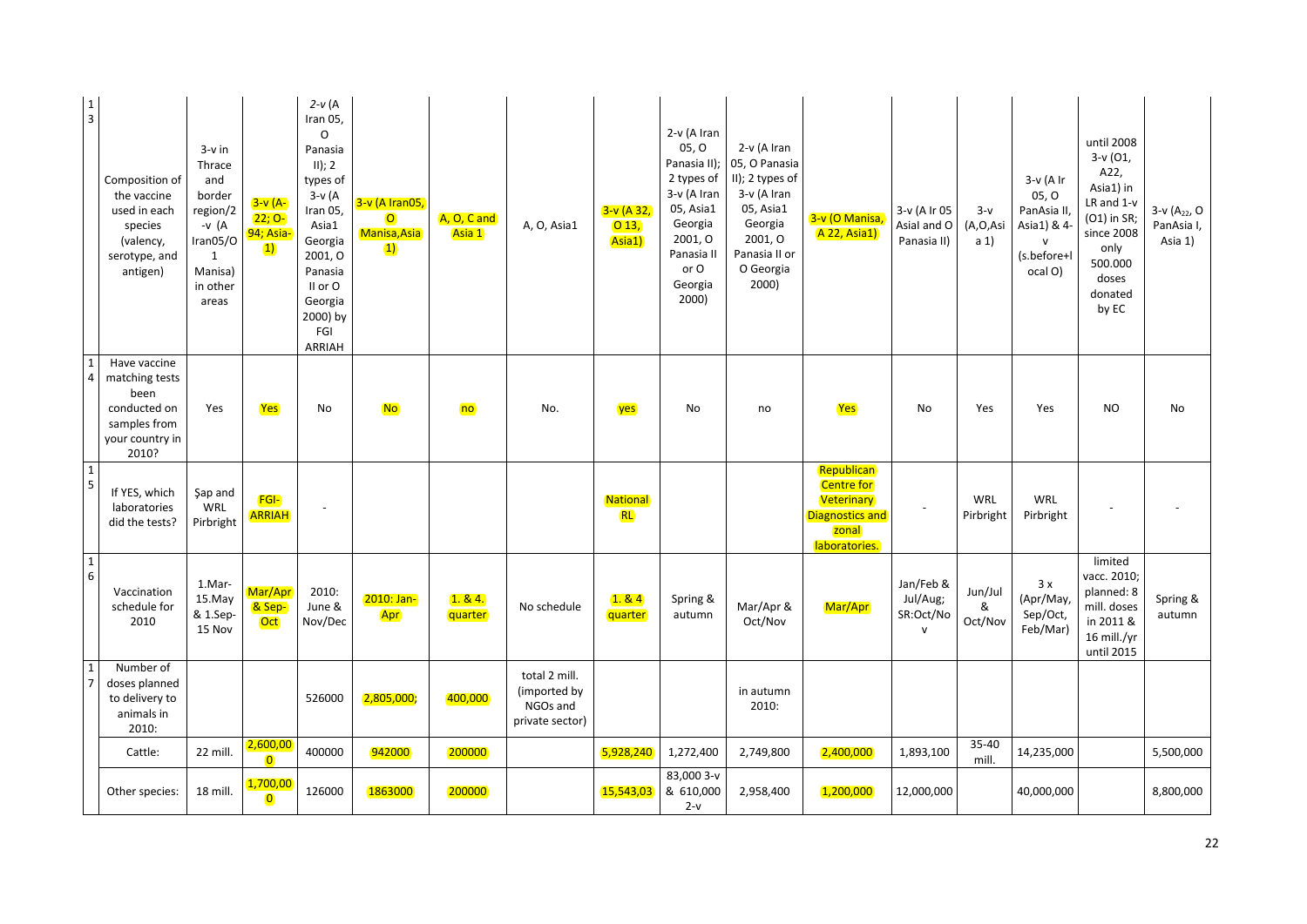| $\begin{array}{c} 1 \\ 3 \end{array}$   | Composition of<br>the vaccine<br>used in each<br>species<br>(valency,<br>serotype, and<br>antigen) | $3-v$ in<br>Thrace<br>and<br>border<br>region/2<br>-v $(A$<br>Iran05/O<br>1<br>Manisa)<br>in other<br>areas | $3-v(A-$<br>$22; 0-$<br>94; Asia-<br>$\left( \mathbf{1}\right)$ | $2-v(A)$<br>Iran 05,<br>$\circ$<br>Panasia<br>II); 2<br>types of<br>$3-v(A)$<br>Iran 05,<br>Asia1<br>Georgia<br>2001, O<br>Panasia<br>II or O<br>Georgia<br>2000) by<br>FGI<br>ARRIAH | 3-v (A Iran05,<br>$\overline{O}$<br>Manisa, Asia<br>$\left( 1\right)$ | A, O, C and<br>Asia 1 | A, O, Asia1                                                  | $3-v($ A 32,<br>$\overline{013}$<br>Asia1) | 2-v (A Iran<br>05, 0<br>Panasia II);<br>2 types of<br>3-v (A Iran<br>05, Asia1<br>Georgia<br>2001, O<br>Panasia II<br>or O<br>Georgia<br>2000) | 2-v (A Iran<br>05, O Panasia<br>II); 2 types of<br>3-v (A Iran<br>05, Asia1<br>Georgia<br>2001, O<br>Panasia II or<br>O Georgia<br>2000) | 3-v (O Manisa<br><b>A 22, Asia1)</b>                                                              | 3-v (A Ir 05<br>Asial and O<br>Panasia II)         | $3-v$<br>(A,O,Asi<br>a <sub>1</sub> | $3-v(A)$<br>05, 0<br>PanAsia II,<br>Asia1) & 4-<br>${\sf v}$<br>(s.before+l<br>ocal O) | until 2008<br>$3-v(01,$<br>A22,<br>Asia1) in<br>LR and 1-v<br>(O1) in SR;<br>since 2008<br>only<br>500.000<br>doses<br>donated<br>by EC | 3-v (A <sub>22</sub> , O<br>PanAsia I,<br>Asia 1) |
|-----------------------------------------|----------------------------------------------------------------------------------------------------|-------------------------------------------------------------------------------------------------------------|-----------------------------------------------------------------|---------------------------------------------------------------------------------------------------------------------------------------------------------------------------------------|-----------------------------------------------------------------------|-----------------------|--------------------------------------------------------------|--------------------------------------------|------------------------------------------------------------------------------------------------------------------------------------------------|------------------------------------------------------------------------------------------------------------------------------------------|---------------------------------------------------------------------------------------------------|----------------------------------------------------|-------------------------------------|----------------------------------------------------------------------------------------|-----------------------------------------------------------------------------------------------------------------------------------------|---------------------------------------------------|
| $\mathbf{1}$<br>$\overline{4}$          | Have vaccine<br>matching tests<br>been<br>conducted on<br>samples from<br>your country in<br>2010? | Yes                                                                                                         | Yes                                                             | No                                                                                                                                                                                    | <b>No</b>                                                             | n <sub>o</sub>        | No.                                                          | yes                                        | No                                                                                                                                             | no                                                                                                                                       | Yes                                                                                               | No                                                 | Yes                                 | Yes                                                                                    | <b>NO</b>                                                                                                                               | No                                                |
| $\mathbf{1}$<br>$\overline{\mathbf{5}}$ | If YES, which<br>laboratories<br>did the tests?                                                    | Şap and<br>WRL<br>Pirbright                                                                                 | <b>FGI-</b><br><b>ARRIAH</b>                                    |                                                                                                                                                                                       |                                                                       |                       |                                                              | National<br><b>RL</b>                      |                                                                                                                                                |                                                                                                                                          | Republican<br><b>Centre for</b><br>Veterinary<br><b>Diagnostics and</b><br>zonal<br>laboratories. |                                                    | WRL<br>Pirbright                    | WRL<br>Pirbright                                                                       |                                                                                                                                         |                                                   |
| $\,1\,$<br>$\sqrt{6}$                   | Vaccination<br>schedule for<br>2010                                                                | 1.Mar-<br>15.May<br>& 1.Sep-<br>15 Nov                                                                      | Mar/Apr<br>& Sep-<br><b>Oct</b>                                 | 2010:<br>June &<br>Nov/Dec                                                                                                                                                            | 2010: Jan-<br>Apr                                                     | 1.84.<br>quarter      | No schedule                                                  | 1.84<br>quarter                            | Spring &<br>autumn                                                                                                                             | Mar/Apr &<br>Oct/Nov                                                                                                                     | Mar/Apr                                                                                           | Jan/Feb &<br>Jul/Aug;<br>SR:Oct/No<br>$\mathsf{v}$ | Jun/Jul<br>&<br>Oct/Nov             | 3x<br>(Apr/May,<br>Sep/Oct,<br>Feb/Mar)                                                | limited<br>vacc. 2010;<br>planned: 8<br>mill. doses<br>in 2011 &<br>16 mill./yr<br>until 2015                                           | Spring &<br>autumn                                |
| $\mathbf 1$<br>$\overline{7}$           | Number of<br>doses planned<br>to delivery to<br>animals in<br>2010:                                |                                                                                                             |                                                                 | 526000                                                                                                                                                                                | 2,805,000;                                                            | 400,000               | total 2 mill.<br>(imported by<br>NGOs and<br>private sector) |                                            |                                                                                                                                                | in autumn<br>2010:                                                                                                                       |                                                                                                   |                                                    |                                     |                                                                                        |                                                                                                                                         |                                                   |
|                                         | Cattle:                                                                                            | 22 mill.                                                                                                    | 2,600,00<br>$\overline{\mathbf{0}}$                             | 400000                                                                                                                                                                                | 942000                                                                | 200000                |                                                              | 5,928,240                                  | 1,272,400                                                                                                                                      | 2,749,800                                                                                                                                | 2,400,000                                                                                         | 1,893,100                                          | $35 - 40$<br>mill.                  | 14,235,000                                                                             |                                                                                                                                         | 5,500,000                                         |
|                                         | Other species:                                                                                     | 18 mill.                                                                                                    | 1,700,00<br>$\bullet$                                           | 126000                                                                                                                                                                                | 1863000                                                               | 200000                |                                                              | 15,543,03                                  | 83,000 3-v<br>& 610,000<br>$2-v$                                                                                                               | 2,958,400                                                                                                                                | 1,200,000                                                                                         | 12,000,000                                         |                                     | 40,000,000                                                                             |                                                                                                                                         | 8,800,000                                         |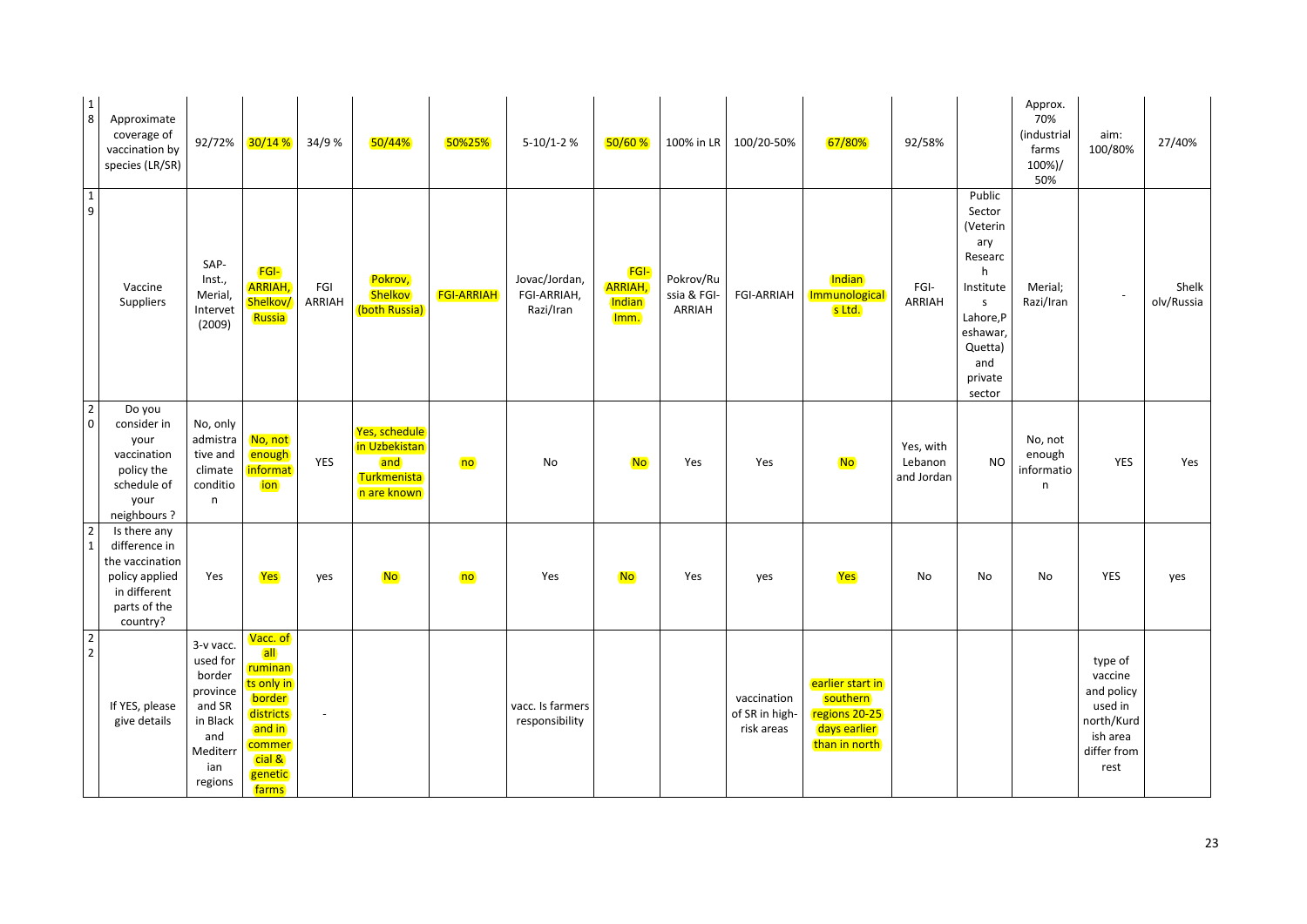| $\begin{array}{c} 1 \\ 8 \end{array}$ | Approximate<br>coverage of<br>vaccination by<br>species (LR/SR)                                                | 92/72%                                                                                                 | 30/14%                                                                                                                                      | 34/9 %         | 50/44%                                                              | 50%25%            | $5-10/1-2$ %                              | 50/60%                                          | 100% in LR                        | 100/20-50%                                  | 67/80%                                                                         | 92/58%                             |                                                                                                                                                | Approx.<br>70%<br>(industrial<br>farms<br>100%)/<br>50% | aim:<br>100/80%                                                                              | 27/40%              |
|---------------------------------------|----------------------------------------------------------------------------------------------------------------|--------------------------------------------------------------------------------------------------------|---------------------------------------------------------------------------------------------------------------------------------------------|----------------|---------------------------------------------------------------------|-------------------|-------------------------------------------|-------------------------------------------------|-----------------------------------|---------------------------------------------|--------------------------------------------------------------------------------|------------------------------------|------------------------------------------------------------------------------------------------------------------------------------------------|---------------------------------------------------------|----------------------------------------------------------------------------------------------|---------------------|
| $\begin{array}{c} 1 \\ 9 \end{array}$ | Vaccine<br>Suppliers                                                                                           | SAP-<br>Inst.,<br>Merial,<br>Intervet<br>(2009)                                                        | <b>FGI-</b><br><b>ARRIAH</b> ,<br>Shelkov/<br>Russia                                                                                        | FGI<br>ARRIAH  | Pokrov,<br>Shelkov<br>(both Russia)                                 | <b>FGI-ARRIAH</b> | Jovac/Jordan,<br>FGI-ARRIAH,<br>Razi/Iran | <b>FGI-</b><br><b>ARRIAH,</b><br>Indian<br>Imm. | Pokrov/Ru<br>ssia & FGI<br>ARRIAH | <b>FGI-ARRIAH</b>                           | Indian<br>Immunological<br>s Ltd.                                              | FGI-<br>ARRIAH                     | Public<br>Sector<br>(Veterin<br>ary<br>Researc<br>h<br>Institute<br>$\mathsf{s}$<br>Lahore,P<br>eshawar<br>Quetta)<br>and<br>private<br>sector | Merial;<br>Razi/Iran                                    | $\omega$                                                                                     | Shelk<br>olv/Russia |
| $\overline{2}$<br>$\overline{0}$      | Do you<br>consider in<br>your<br>vaccination<br>policy the<br>schedule of<br>your<br>neighbours?               | No, only<br>admistra<br>tive and<br>climate<br>conditio<br>n                                           | No, not<br>enough<br><mark>informat</mark><br>ion                                                                                           | <b>YES</b>     | Yes, schedule<br>in Uzbekistan<br>and<br>Turkmenista<br>n are known | no                | <b>No</b>                                 | <b>No</b>                                       | Yes                               | Yes                                         | <b>No</b>                                                                      | Yes, with<br>Lebanon<br>and Jordan | <b>NO</b>                                                                                                                                      | No, not<br>enough<br>informatio<br>n                    | <b>YES</b>                                                                                   | Yes                 |
| $\overline{2}$<br>$\overline{1}$      | Is there any<br>difference in<br>the vaccination<br>policy applied<br>in different<br>parts of the<br>country? | Yes                                                                                                    | Yes                                                                                                                                         | yes            | <b>No</b>                                                           | no                | Yes                                       | <b>No</b>                                       | Yes                               | yes                                         | Yes                                                                            | No                                 | No                                                                                                                                             | No                                                      | YES                                                                                          | yes                 |
| $\begin{array}{c} 2 \\ 2 \end{array}$ | If YES, please<br>give details                                                                                 | 3-v vacc.<br>used for<br>border<br>province<br>and SR<br>in Black<br>and<br>Mediterr<br>ian<br>regions | Vacc. of<br>all<br><mark>ruminan</mark><br>ts only in<br>border<br>districts<br>and in<br><mark>commer</mark><br>cial &<br>genetic<br>farms | $\blacksquare$ |                                                                     |                   | vacc. Is farmers<br>responsibility        |                                                 |                                   | vaccination<br>of SR in high-<br>risk areas | earlier start in<br>southern<br>regions 20-25<br>days earlier<br>than in north |                                    |                                                                                                                                                |                                                         | type of<br>vaccine<br>and policy<br>used in<br>north/Kurd<br>ish area<br>differ from<br>rest |                     |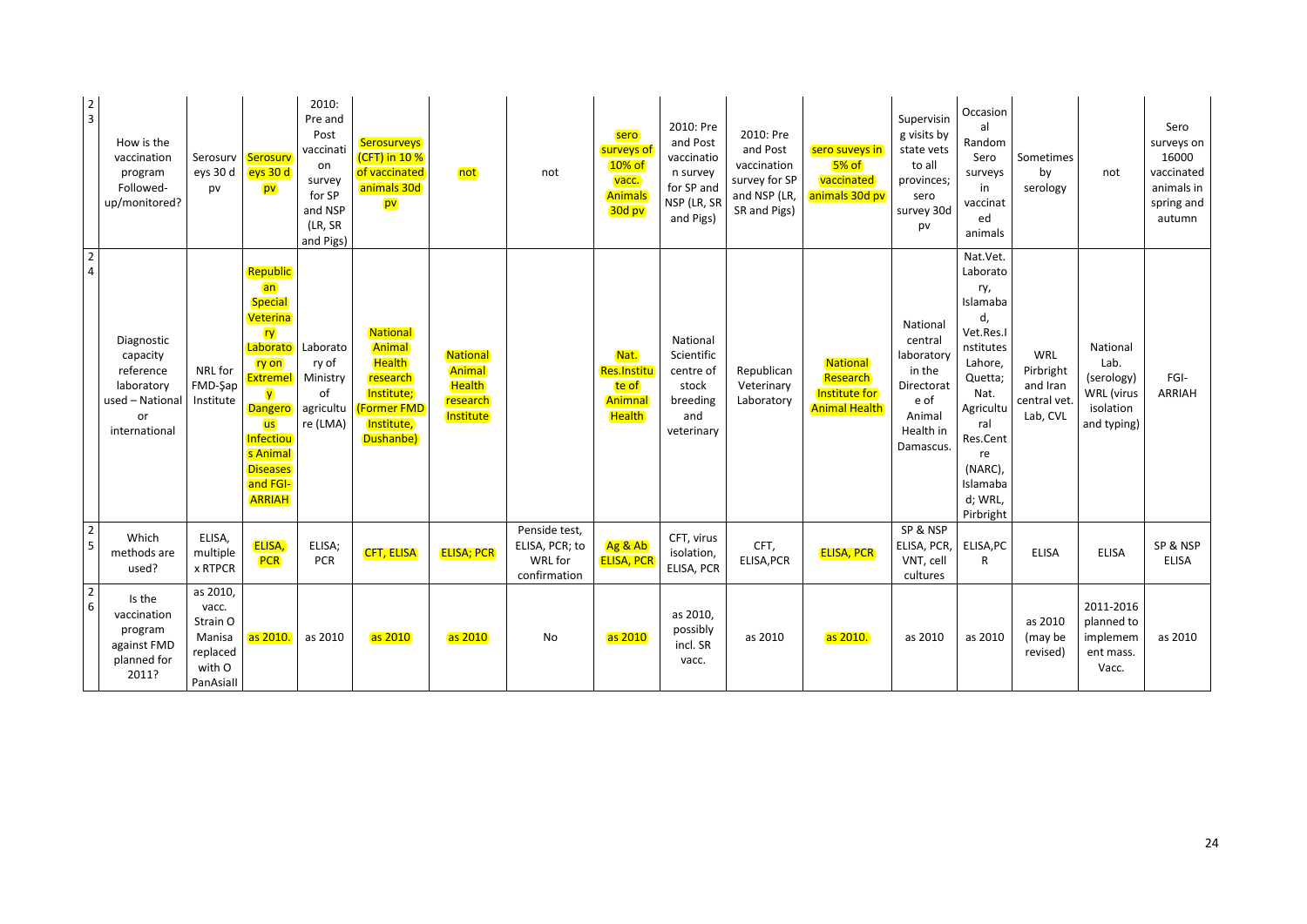| $\begin{array}{c} 2 \\ 3 \end{array}$ | How is the<br>vaccination<br>program<br>Followed-<br>up/monitored?                          | Serosurv<br>eys 30 d<br>pv                                                 | Serosurv<br>eys 30 d<br>pv                                                                                                                                                                                     | 2010:<br>Pre and<br>Post<br>vaccinati<br>on<br>survey<br>for SP<br>and NSP<br>(LR, SR<br>and Pigs) | <b>Serosurveys</b><br>(CFT) in 10 %<br>of vaccinated<br>animals 30d<br>pv                              | not                                                          | not                                                               | sero<br>surveys of<br>10% of<br>vacc.<br><b>Animals</b><br>30d pv | 2010: Pre<br>and Post<br>vaccinatio<br>n survey<br>for SP and<br>NSP (LR, SR<br>and Pigs) | 2010: Pre<br>and Post<br>vaccination<br>survey for SP<br>and NSP (LR,<br>SR and Pigs) | sero suveys in<br>$5%$ of<br>vaccinated<br>animals 30d pv     | Supervisin<br>g visits by<br>state vets<br>to all<br>provinces;<br>sero<br>survey 30d<br>pv           | Occasion<br>al<br>Random<br>Sero<br>surveys<br>in<br>vaccinat<br>ed<br>animals                                                                                                             | Sometimes<br>by<br>serology                                     | not                                                                             | Sero<br>surveys on<br>16000<br>vaccinated<br>animals in<br>spring and<br>autumn |
|---------------------------------------|---------------------------------------------------------------------------------------------|----------------------------------------------------------------------------|----------------------------------------------------------------------------------------------------------------------------------------------------------------------------------------------------------------|----------------------------------------------------------------------------------------------------|--------------------------------------------------------------------------------------------------------|--------------------------------------------------------------|-------------------------------------------------------------------|-------------------------------------------------------------------|-------------------------------------------------------------------------------------------|---------------------------------------------------------------------------------------|---------------------------------------------------------------|-------------------------------------------------------------------------------------------------------|--------------------------------------------------------------------------------------------------------------------------------------------------------------------------------------------|-----------------------------------------------------------------|---------------------------------------------------------------------------------|---------------------------------------------------------------------------------|
| $\begin{array}{c} 2 \\ 4 \end{array}$ | Diagnostic<br>capacity<br>reference<br>laboratory<br>used - National<br>or<br>international | NRL for<br>FMD-Şap<br>Institute                                            | Republic<br>an<br><b>Special</b><br>Veterina<br><b>ry</b><br>Laborato<br>ry on<br><b>Extremel</b><br><b>V</b><br>Dangero<br><b>us</b><br>Infectiou<br>s Animal<br><b>Diseases</b><br>and FGI-<br><b>ARRIAH</b> | Laborato<br>ry of<br>Ministry<br>of<br>agricultu<br>re (LMA)                                       | National<br>Animal<br>Health<br>research<br>Institute;<br><b>Former FMD</b><br>Institute,<br>Dushanbe) | National<br>Animal<br><b>Health</b><br>research<br>Institute |                                                                   | Nat.<br><b>Res.Institu</b><br>te of<br>Animnal<br><b>Health</b>   | National<br>Scientific<br>centre of<br>stock<br>breeding<br>and<br>veterinary             | Republican<br>Veterinary<br>Laboratory                                                | National<br>Research<br>Institute for<br><b>Animal Health</b> | National<br>central<br>laboratory<br>in the<br>Directorat<br>e of<br>Animal<br>Health in<br>Damascus. | Nat.Vet.<br>Laborato<br>ry,<br>Islamaba<br>d,<br>Vet.Res.I<br>nstitutes<br>Lahore,<br>Quetta;<br>Nat.<br>Agricultu<br>ral<br>Res.Cent<br>re<br>(NARC),<br>Islamaba<br>d; WRL,<br>Pirbright | <b>WRL</b><br>Pirbright<br>and Iran<br>central vet.<br>Lab, CVL | National<br>Lab.<br>(serology)<br><b>WRL</b> (virus<br>isolation<br>and typing) | FGI-<br><b>ARRIAH</b>                                                           |
| $\begin{array}{c} 2 \\ 5 \end{array}$ | Which<br>methods are<br>used?                                                               | ELISA,<br>multiple<br>x RTPCR                                              | ELISA,<br><b>PCR</b>                                                                                                                                                                                           | ELISA;<br><b>PCR</b>                                                                               | <b>CFT, ELISA</b>                                                                                      | <b>ELISA; PCR</b>                                            | Penside test,<br>ELISA, PCR; to<br><b>WRL</b> for<br>confirmation | Ag & Ab<br><b>ELISA, PCR</b>                                      | CFT, virus<br>isolation,<br>ELISA, PCR                                                    | CFT.<br>ELISA, PCR                                                                    | <b>ELISA, PCR</b>                                             | SP & NSP<br>ELISA, PCR,<br>VNT, cell<br>cultures                                                      | ELISA, PC<br>$\mathsf{R}$                                                                                                                                                                  | <b>ELISA</b>                                                    | <b>ELISA</b>                                                                    | SP & NSP<br><b>ELISA</b>                                                        |
| $\begin{array}{c} 2 \\ 6 \end{array}$ | Is the<br>vaccination<br>program<br>against FMD<br>planned for<br>2011?                     | as 2010,<br>vacc.<br>Strain O<br>Manisa<br>replaced<br>with O<br>PanAsiall | as 2010.                                                                                                                                                                                                       | as 2010                                                                                            | as 2010                                                                                                | as 2010                                                      | <b>No</b>                                                         | as 2010                                                           | as 2010,<br>possibly<br>incl. SR<br>vacc.                                                 | as 2010                                                                               | as 2010.                                                      | as 2010                                                                                               | as 2010                                                                                                                                                                                    | as 2010<br>(may be<br>revised)                                  | 2011-2016<br>planned to<br>implemem<br>ent mass.<br>Vacc.                       | as 2010                                                                         |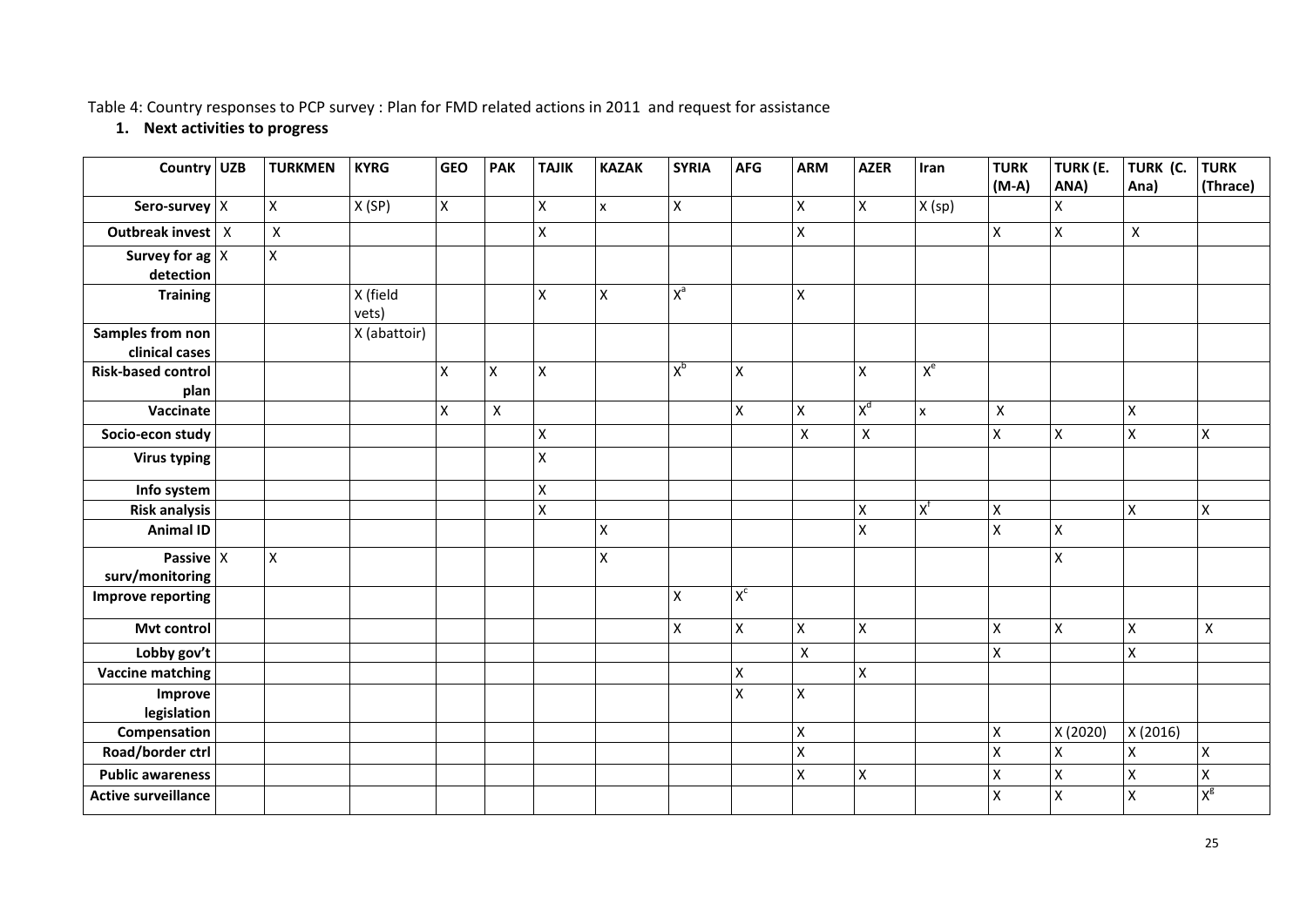Table 4: Country responses to PCP survey : Plan for FMD related actions in 2011 and request for assistance

## **1. Next activities to progress**

| Country UZB                | <b>TURKMEN</b> | <b>KYRG</b>       | <b>GEO</b>  | <b>PAK</b>   | <b>TAJIK</b>       | <b>KAZAK</b> | <b>SYRIA</b>   | <b>AFG</b>         | <b>ARM</b>         | <b>AZER</b>        | Iran         | <b>TURK</b>        | TURK (E.           | TURK (C.           | <b>TURK</b>    |
|----------------------------|----------------|-------------------|-------------|--------------|--------------------|--------------|----------------|--------------------|--------------------|--------------------|--------------|--------------------|--------------------|--------------------|----------------|
|                            |                |                   |             |              |                    |              |                |                    |                    |                    |              | $(M-A)$            | ANA)               | Ana)               | (Thrace)       |
| Sero-survey X              | X              | X(SP)             | $\mathsf X$ |              | $\pmb{\mathsf{X}}$ | $\mathsf{x}$ | $\mathsf X$    |                    | $\mathsf{X}$       | Χ                  | X (sp)       |                    | Χ                  |                    |                |
| Outbreak invest   X        | $\pmb{\times}$ |                   |             |              | $\pmb{\mathsf{X}}$ |              |                |                    | $\mathsf{X}$       |                    |              | $\pmb{\mathsf{X}}$ | $\pmb{\mathsf{X}}$ | $\mathsf{X}$       |                |
| Survey for ag $ X $        | X              |                   |             |              |                    |              |                |                    |                    |                    |              |                    |                    |                    |                |
| detection                  |                |                   |             |              |                    |              |                |                    |                    |                    |              |                    |                    |                    |                |
| <b>Training</b>            |                | X (field<br>vets) |             |              | $\pmb{\mathsf{X}}$ | $\mathsf X$  | $X^a$          |                    | $\mathsf{X}$       |                    |              |                    |                    |                    |                |
| Samples from non           |                | X (abattoir)      |             |              |                    |              |                |                    |                    |                    |              |                    |                    |                    |                |
| clinical cases             |                |                   |             |              |                    |              |                |                    |                    |                    |              |                    |                    |                    |                |
| <b>Risk-based control</b>  |                |                   | $\mathsf X$ | Χ            | $\pmb{\mathsf{X}}$ |              | $X_p$          | $\pmb{\mathsf{X}}$ |                    | X                  | $X^e$        |                    |                    |                    |                |
| plan                       |                |                   |             |              |                    |              |                |                    |                    |                    |              |                    |                    |                    |                |
| Vaccinate                  |                |                   | X           | $\mathsf{x}$ |                    |              |                | $\pmb{\mathsf{X}}$ | $\mathsf{x}$       | X <sup>d</sup>     | $\mathsf{x}$ | $\mathsf{X}$       |                    | $\mathsf{x}$       |                |
| Socio-econ study           |                |                   |             |              | $\pmb{\mathsf{X}}$ |              |                |                    | $\pmb{\mathsf{X}}$ | $\pmb{\mathsf{X}}$ |              | $\pmb{\mathsf{X}}$ | $\pmb{\times}$     | $\mathsf X$        | $\mathsf X$    |
| <b>Virus typing</b>        |                |                   |             |              | $\pmb{\mathsf{X}}$ |              |                |                    |                    |                    |              |                    |                    |                    |                |
| Info system                |                |                   |             |              | $\pmb{\mathsf{X}}$ |              |                |                    |                    |                    |              |                    |                    |                    |                |
| <b>Risk analysis</b>       |                |                   |             |              | $\pmb{\mathsf{X}}$ |              |                |                    |                    | X                  | $X_{\mu}$    | $\pmb{\mathsf{X}}$ |                    | $\mathsf{x}$       | $\pmb{\times}$ |
| <b>Animal ID</b>           |                |                   |             |              |                    | X            |                |                    |                    | X                  |              | X                  | X                  |                    |                |
| Passive $x$                | X              |                   |             |              |                    | X            |                |                    |                    |                    |              |                    | $\pmb{\mathsf{X}}$ |                    |                |
| surv/monitoring            |                |                   |             |              |                    |              |                | $X_{c}$            |                    |                    |              |                    |                    |                    |                |
| Improve reporting          |                |                   |             |              |                    |              | $\mathsf X$    |                    |                    |                    |              |                    |                    |                    |                |
| Mvt control                |                |                   |             |              |                    |              | $\pmb{\times}$ | $\pmb{\times}$     | $\mathsf{X}$       | $\pmb{\mathsf{X}}$ |              | $\pmb{\mathsf{X}}$ | $\pmb{\times}$     | $\mathsf{x}$       | $\mathsf{x}$   |
| Lobby gov't                |                |                   |             |              |                    |              |                |                    | $\pmb{\mathsf{X}}$ |                    |              | X                  |                    | X                  |                |
| <b>Vaccine matching</b>    |                |                   |             |              |                    |              |                | $\pmb{\times}$     |                    | X                  |              |                    |                    |                    |                |
| Improve<br>legislation     |                |                   |             |              |                    |              |                | $\pmb{\times}$     | $\mathsf{X}$       |                    |              |                    |                    |                    |                |
| Compensation               |                |                   |             |              |                    |              |                |                    | $\mathsf{X}$       |                    |              | X                  | X (2020)           | X (2016)           |                |
| Road/border ctrl           |                |                   |             |              |                    |              |                |                    | $\mathsf{X}$       |                    |              | X                  | $\pmb{\mathsf{X}}$ | Χ                  | $\mathsf X$    |
| <b>Public awareness</b>    |                |                   |             |              |                    |              |                |                    | $\mathsf{X}$       | $\pmb{\times}$     |              | $\pmb{\mathsf{X}}$ | $\pmb{\mathsf{X}}$ | $\pmb{\mathsf{X}}$ | $\mathsf X$    |
| <b>Active surveillance</b> |                |                   |             |              |                    |              |                |                    |                    |                    |              | X                  | X                  | X                  | $X_{\alpha}$   |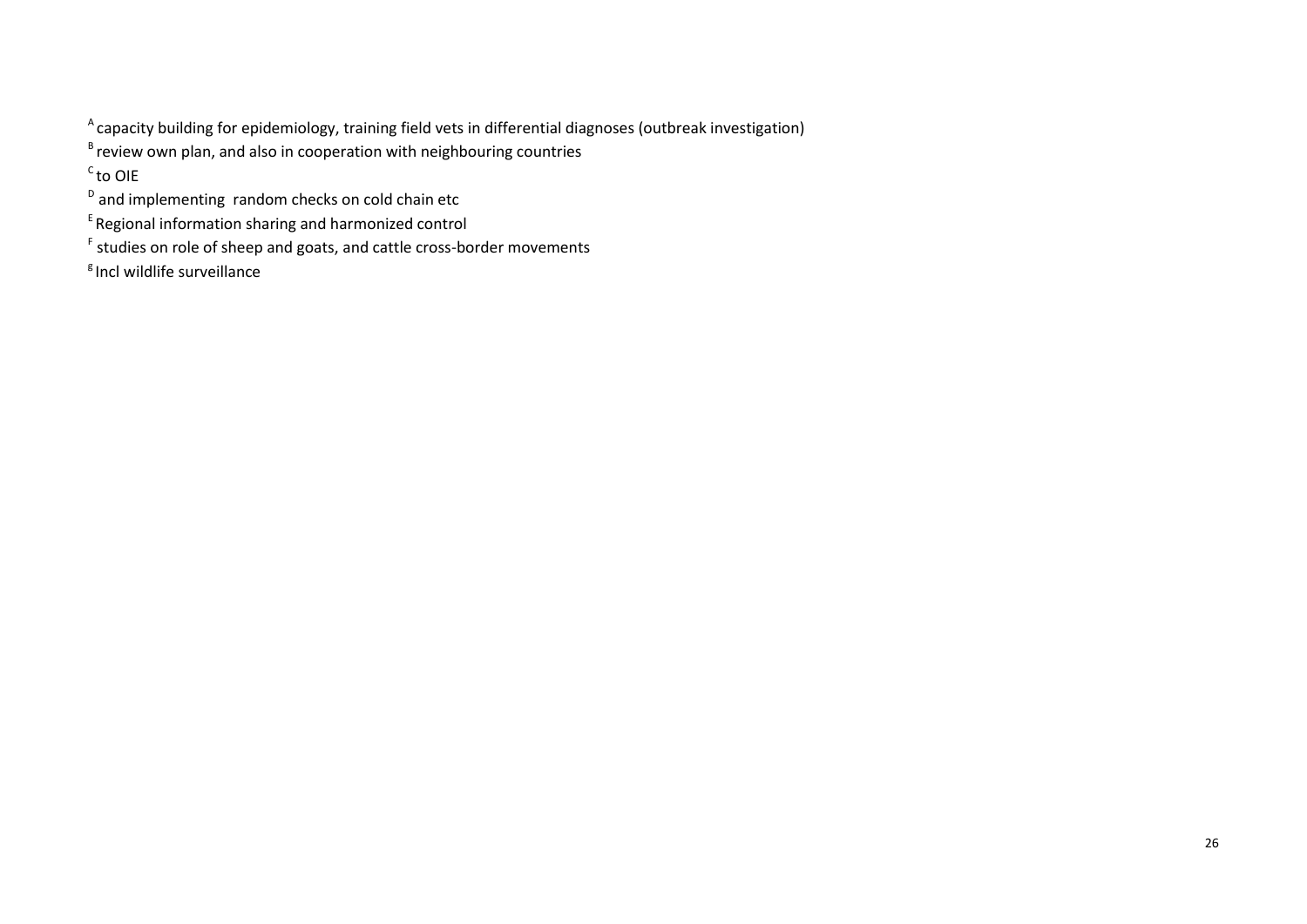<sup>A</sup> capacity building for epidemiology, training field vets in differential diagnoses (outbreak investigation)

 $B$  review own plan, and also in cooperation with neighbouring countries

 $\mathrm{^{c}}$ to OIE

<sup>D</sup> and implementing random checks on cold chain etc

 $E$ Regional information sharing and harmonized control

<sup>F</sup> studies on role of sheep and goats, and cattle cross-border movements

 $<sup>g</sup>$  Incl wildlife surveillance</sup>